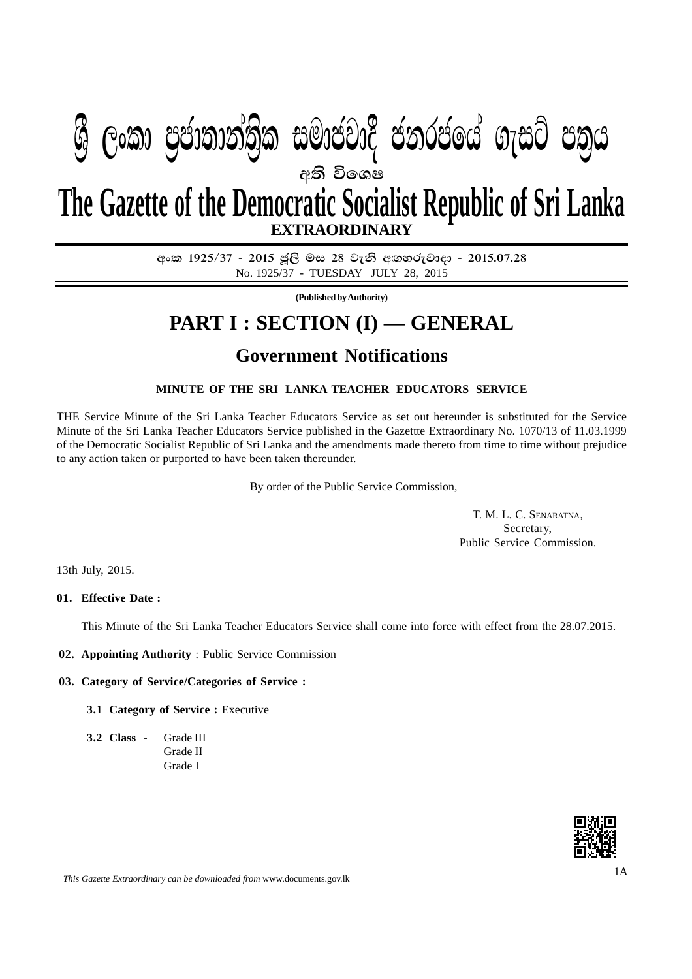# $\mathfrak{G}$  ලංකා පුජාතාන්තික සමාජවාදී ජනරජයේ ගැසට් පතුය

**අති වි**ගෙෂ

**EXTRAORDINARY The Gazette of the Democratic Socialist Republic of Sri Lanka**

> අංක 1925/37 - 2015 ජුලි මස 28 වැනි අඟහරුවාදා - 2015.07.28 No. 1925/37 - TUESDAY JULY 28, 2015

> > **(Published by Authority)**

# **PART I : SECTION (I) — GENERAL**

# **Government Notifications**

# **MINUTE OF THE SRI LANKA TEACHER EDUCATORS SERVICE**

THE Service Minute of the Sri Lanka Teacher Educators Service as set out hereunder is substituted for the Service Minute of the Sri Lanka Teacher Educators Service published in the Gazettte Extraordinary No. 1070/13 of 11.03.1999 of the Democratic Socialist Republic of Sri Lanka and the amendments made thereto from time to time without prejudice to any action taken or purported to have been taken thereunder.

By order of the Public Service Commission,

T. M. L. C. SENARATNA, Secretary, Public Service Commission.

13th July, 2015.

**01. Effective Date :**

This Minute of the Sri Lanka Teacher Educators Service shall come into force with effect from the 28.07.2015.

- **02. Appointing Authority** : Public Service Commission
- **03. Category of Service/Categories of Service :**
	- **3.1 Category of Service :** Executive
	- **3.2 Class**  Grade III Grade II Grade I



*This Gazette Extraordinary can be downloaded from* www.documents.gov.lk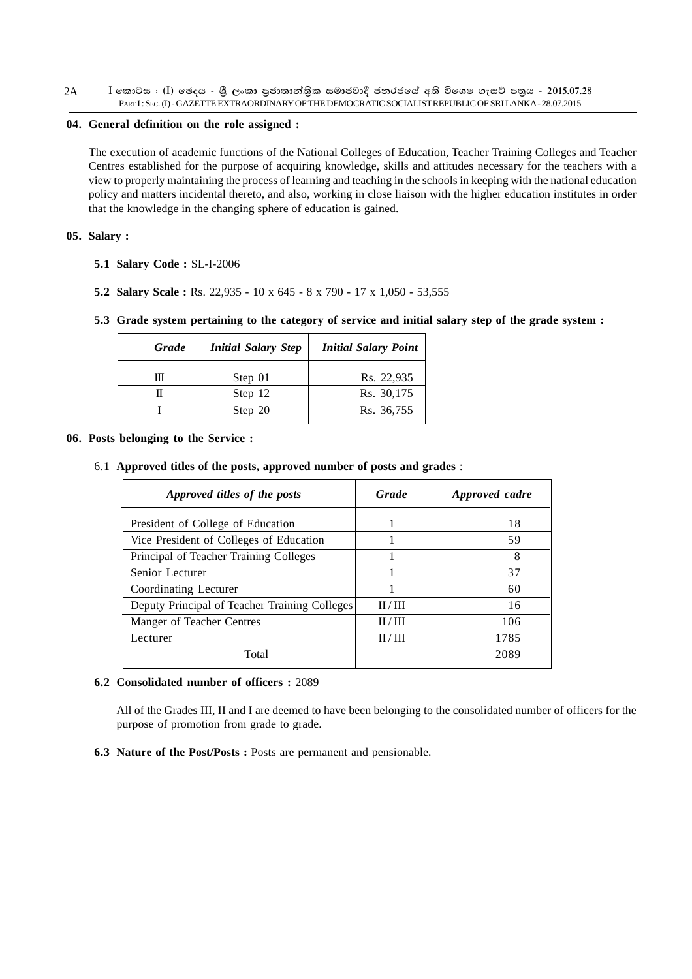# **04. General definition on the role assigned :**

The execution of academic functions of the National Colleges of Education, Teacher Training Colleges and Teacher Centres established for the purpose of acquiring knowledge, skills and attitudes necessary for the teachers with a view to properly maintaining the process of learning and teaching in the schools in keeping with the national education policy and matters incidental thereto, and also, working in close liaison with the higher education institutes in order that the knowledge in the changing sphere of education is gained.

### **05. Salary :**

- **5.1 Salary Code :** SL-I-2006
- **5.2 Salary Scale :** Rs. 22,935 10 x 645 8 x 790 17 x 1,050 53,555

# **5.3 Grade system pertaining to the category of service and initial salary step of the grade system :**

| Grade | <b>Initial Salary Step</b> | <b>Initial Salary Point</b> |
|-------|----------------------------|-----------------------------|
|       | Step 01                    | Rs. 22,935                  |
|       | Step 12                    | Rs. 30,175                  |
|       | Step 20                    | Rs. 36,755                  |

#### **06. Posts belonging to the Service :**

# 6.1 **Approved titles of the posts, approved number of posts and grades** :

| Approved titles of the posts                  | Grade       | Approved cadre |
|-----------------------------------------------|-------------|----------------|
| President of College of Education             |             | 18             |
| Vice President of Colleges of Education       |             | 59             |
| Principal of Teacher Training Colleges        |             | 8              |
| Senior Lecturer                               |             | 37             |
| Coordinating Lecturer                         |             | 60             |
| Deputy Principal of Teacher Training Colleges | $\Pi / \Pi$ | 16             |
| Manger of Teacher Centres                     | $\Pi / \Pi$ | 106            |
| Lecturer                                      | $\rm H/H$   | 1785           |
| Total                                         |             | 2089           |

#### **6.2 Consolidated number of officers :** 2089

All of the Grades III, II and I are deemed to have been belonging to the consolidated number of officers for the purpose of promotion from grade to grade.

**6.3 Nature of the Post/Posts :** Posts are permanent and pensionable.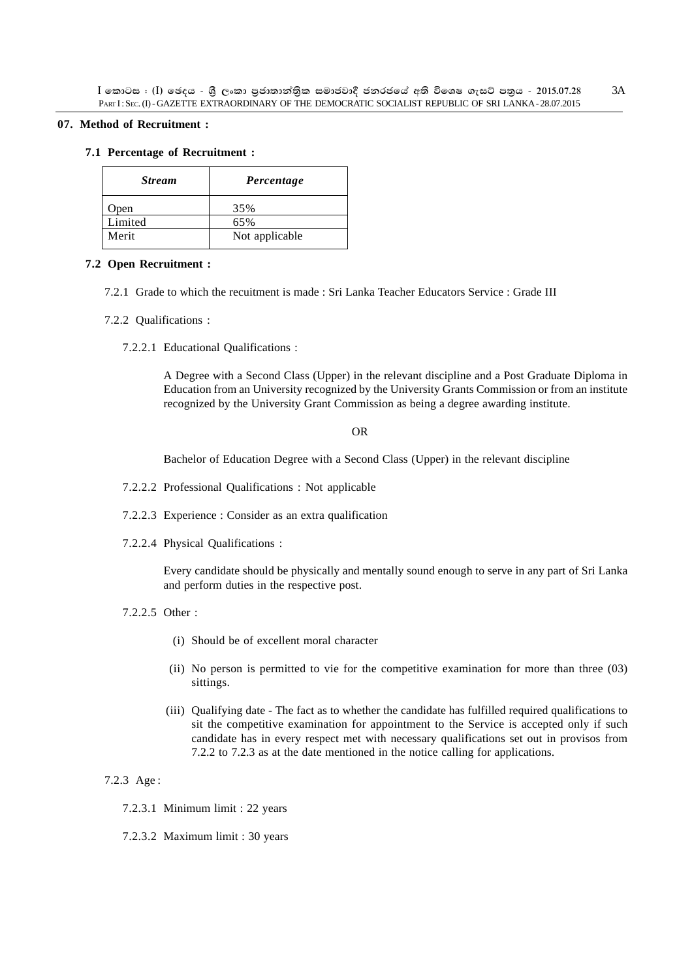# **07. Method of Recruitment :**

#### **7.1 Percentage of Recruitment :**

| <b>Stream</b> | Percentage     |
|---------------|----------------|
| Jpen          | 35%            |
| Limited       | 65%            |
| Merit         | Not applicable |

#### **7.2 Open Recruitment :**

- 7.2.1 Grade to which the recuitment is made : Sri Lanka Teacher Educators Service : Grade III
- 7.2.2 Qualifications :
	- 7.2.2.1 Educational Qualifications :

A Degree with a Second Class (Upper) in the relevant discipline and a Post Graduate Diploma in Education from an University recognized by the University Grants Commission or from an institute recognized by the University Grant Commission as being a degree awarding institute.

#### **OR** STREET IN THE STREET IS NOT THE STREET IN THE STREET IS NOT THE STREET IN THE STREET IS NOT THE STREET IN THE STREET IS NOT THE STREET IN THE STREET IS NOT THE STREET IN THE STREET IS NOT THE STREET IN THE STREET IS N

Bachelor of Education Degree with a Second Class (Upper) in the relevant discipline

- 7.2.2.2 Professional Qualifications : Not applicable
- 7.2.2.3 Experience : Consider as an extra qualification
- 7.2.2.4 Physical Qualifications :

Every candidate should be physically and mentally sound enough to serve in any part of Sri Lanka and perform duties in the respective post.

- 7.2.2.5 Other :
	- (i) Should be of excellent moral character
	- (ii) No person is permitted to vie for the competitive examination for more than three (03) sittings.
	- (iii) Qualifying date The fact as to whether the candidate has fulfilled required qualifications to sit the competitive examination for appointment to the Service is accepted only if such candidate has in every respect met with necessary qualifications set out in provisos from 7.2.2 to 7.2.3 as at the date mentioned in the notice calling for applications.

# 7.2.3 Age :

- 7.2.3.1 Minimum limit : 22 years
- 7.2.3.2 Maximum limit : 30 years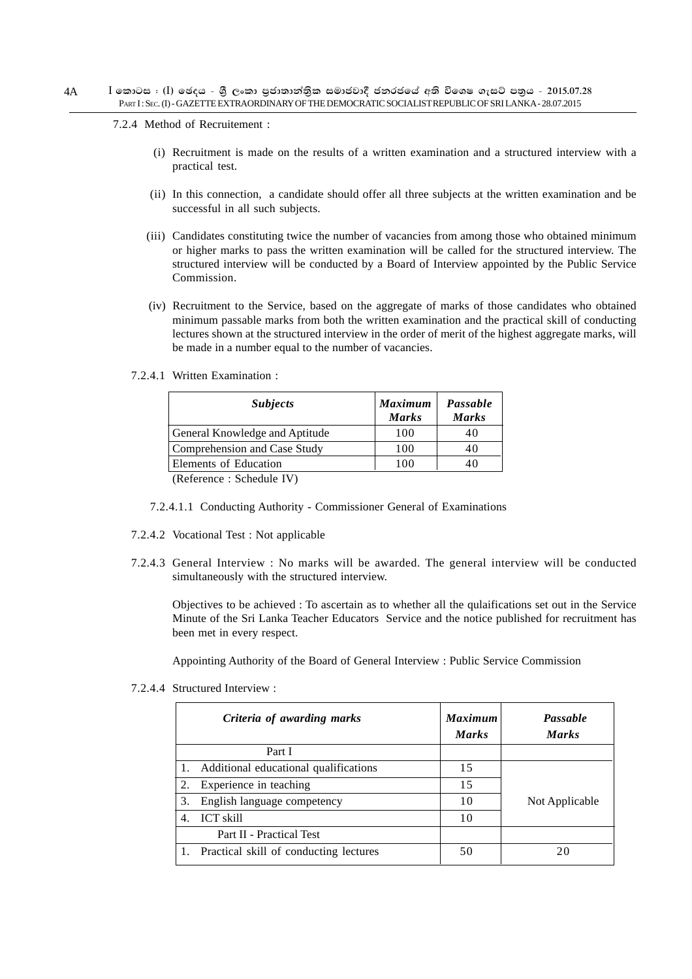7.2.4 Method of Recruitement :

- (i) Recruitment is made on the results of a written examination and a structured interview with a practical test.
- (ii) In this connection, a candidate should offer all three subjects at the written examination and be successful in all such subjects.
- (iii) Candidates constituting twice the number of vacancies from among those who obtained minimum or higher marks to pass the written examination will be called for the structured interview. The structured interview will be conducted by a Board of Interview appointed by the Public Service Commission.
- (iv) Recruitment to the Service, based on the aggregate of marks of those candidates who obtained minimum passable marks from both the written examination and the practical skill of conducting lectures shown at the structured interview in the order of merit of the highest aggregate marks, will be made in a number equal to the number of vacancies.
- 7.2.4.1 Written Examination :

| <b>Subjects</b>                | <b>Maximum</b><br><b>Marks</b> | Passable<br><b>Marks</b> |
|--------------------------------|--------------------------------|--------------------------|
| General Knowledge and Aptitude | 100                            | 40                       |
| Comprehension and Case Study   | 100                            | 40                       |
| Elements of Education          | 100                            | 40                       |

(Reference : Schedule IV)

- 7.2.4.1.1 Conducting Authority Commissioner General of Examinations
- 7.2.4.2 Vocational Test : Not applicable
- 7.2.4.3 General Interview : No marks will be awarded. The general interview will be conducted simultaneously with the structured interview.

Objectives to be achieved : To ascertain as to whether all the qulaifications set out in the Service Minute of the Sri Lanka Teacher Educators Service and the notice published for recruitment has been met in every respect.

Appointing Authority of the Board of General Interview : Public Service Commission

7.2.4.4 Structured Interview :

|    | Criteria of awarding marks             | Maximum <sup> </sup><br><b>Marks</b> | Passable<br><b>Marks</b> |
|----|----------------------------------------|--------------------------------------|--------------------------|
|    | Part I                                 |                                      |                          |
|    | Additional educational qualifications  | 15                                   |                          |
|    | Experience in teaching                 | 15                                   |                          |
| 3. | English language competency            | 10                                   | Not Applicable           |
| 4. | <b>ICT</b> skill                       | 10                                   |                          |
|    | Part II - Practical Test               |                                      |                          |
|    | Practical skill of conducting lectures | 50                                   | 20                       |
|    |                                        |                                      |                          |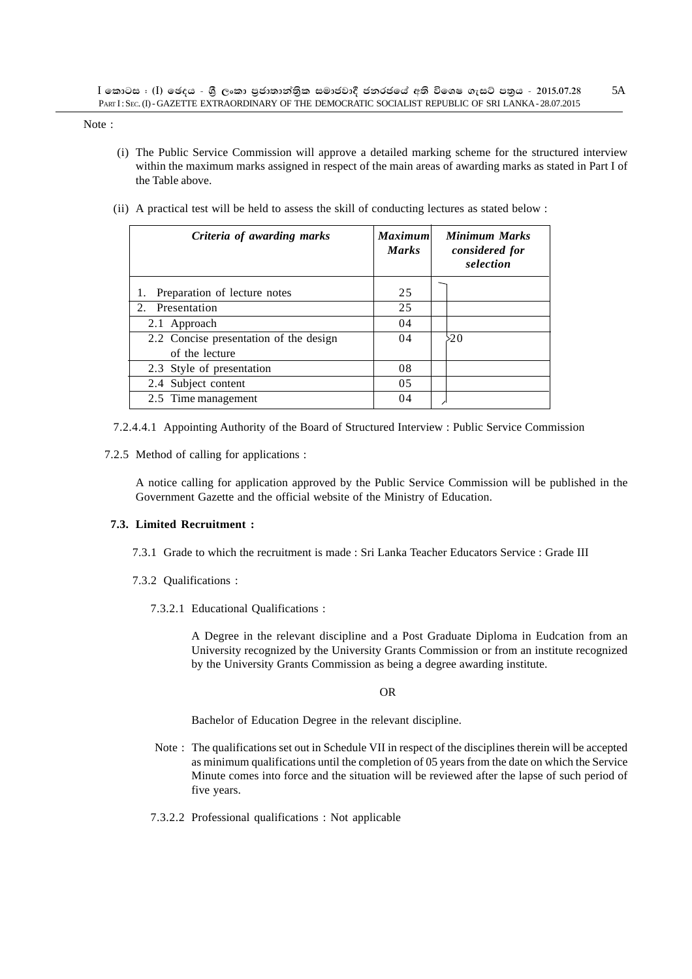Note :

- (i) The Public Service Commission will approve a detailed marking scheme for the structured interview within the maximum marks assigned in respect of the main areas of awarding marks as stated in Part I of the Table above.
- (ii) A practical test will be held to assess the skill of conducting lectures as stated below :

| Criteria of awarding marks             | <b>Maximum</b><br><b>Marks</b> | Minimum Marks<br>considered for<br>selection |
|----------------------------------------|--------------------------------|----------------------------------------------|
| Preparation of lecture notes<br>1.     | 25                             |                                              |
| 2. Presentation                        | 25                             |                                              |
| 2.1 Approach                           | 04                             |                                              |
| 2.2 Concise presentation of the design | 04                             | 20                                           |
| of the lecture                         |                                |                                              |
| 2.3 Style of presentation              | 08                             |                                              |
| 2.4 Subject content                    | 0.5                            |                                              |
| 2.5 Time management                    | 04                             |                                              |

- 7.2.4.4.1 Appointing Authority of the Board of Structured Interview : Public Service Commission
- 7.2.5 Method of calling for applications :

A notice calling for application approved by the Public Service Commission will be published in the Government Gazette and the official website of the Ministry of Education.

#### **7.3. Limited Recruitment :**

- 7.3.1 Grade to which the recruitment is made : Sri Lanka Teacher Educators Service : Grade III
- 7.3.2 Qualifications :
	- 7.3.2.1 Educational Qualifications :

A Degree in the relevant discipline and a Post Graduate Diploma in Eudcation from an University recognized by the University Grants Commission or from an institute recognized by the University Grants Commission as being a degree awarding institute.

# **OR** Service Service Service Service Service Service Service Service Service Service Service Service Service Service Service Service Service Service Service Service Service Service Service Service Service Service Service S

Bachelor of Education Degree in the relevant discipline.

- Note : The qualifications set out in Schedule VII in respect of the disciplines therein will be accepted as minimum qualifications until the completion of 05 years from the date on which the Service Minute comes into force and the situation will be reviewed after the lapse of such period of five years.
- 7.3.2.2 Professional qualifications : Not applicable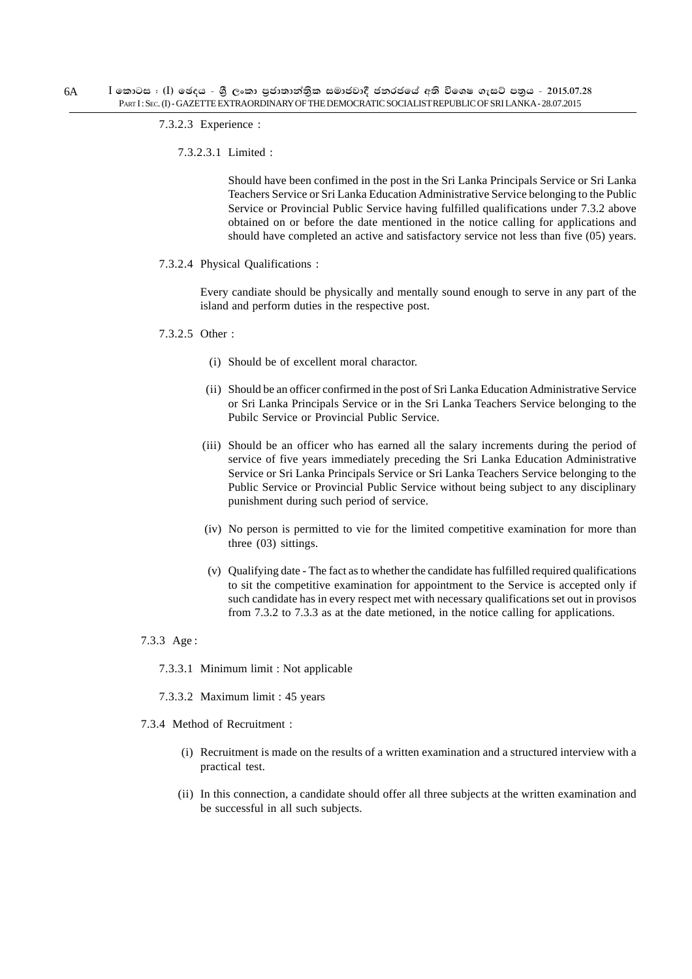7.3.2.3 Experience :

7.3.2.3.1 Limited :

Should have been confimed in the post in the Sri Lanka Principals Service or Sri Lanka Teachers Service or Sri Lanka Education Administrative Service belonging to the Public Service or Provincial Public Service having fulfilled qualifications under 7.3.2 above obtained on or before the date mentioned in the notice calling for applications and should have completed an active and satisfactory service not less than five (05) years.

7.3.2.4 Physical Qualifications :

Every candiate should be physically and mentally sound enough to serve in any part of the island and perform duties in the respective post.

#### 7.3.2.5 Other :

- (i) Should be of excellent moral charactor.
- (ii) Should be an officer confirmed in the post of Sri Lanka Education Administrative Service or Sri Lanka Principals Service or in the Sri Lanka Teachers Service belonging to the Pubilc Service or Provincial Public Service.
- (iii) Should be an officer who has earned all the salary increments during the period of service of five years immediately preceding the Sri Lanka Education Administrative Service or Sri Lanka Principals Service or Sri Lanka Teachers Service belonging to the Public Service or Provincial Public Service without being subject to any disciplinary punishment during such period of service.
- (iv) No person is permitted to vie for the limited competitive examination for more than three (03) sittings.
- (v) Qualifying date The fact as to whether the candidate has fulfilled required qualifications to sit the competitive examination for appointment to the Service is accepted only if such candidate has in every respect met with necessary qualifications set out in provisos from 7.3.2 to 7.3.3 as at the date metioned, in the notice calling for applications.

#### 7.3.3 Age :

- 7.3.3.1 Minimum limit : Not applicable
- 7.3.3.2 Maximum limit : 45 years
- 7.3.4 Method of Recruitment :
	- (i) Recruitment is made on the results of a written examination and a structured interview with a practical test.
	- (ii) In this connection, a candidate should offer all three subjects at the written examination and be successful in all such subjects.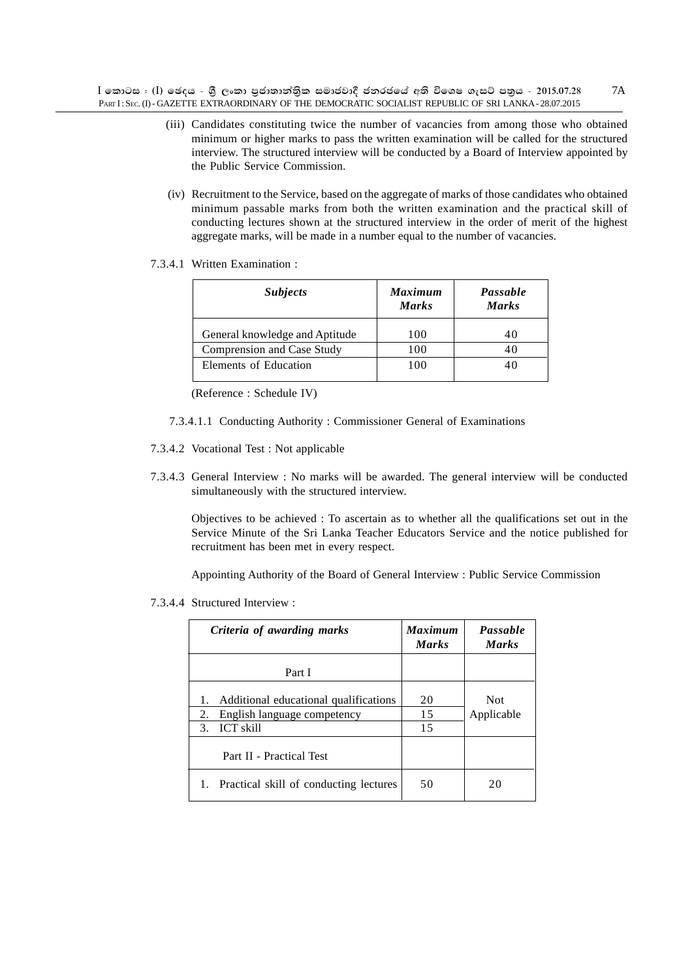$I$  කොටස : (I) ඡෙදය - ශීූ ලංකා පුජාතාන්තිුක සමාජවාදී ජනරජයේ අති විශෙෂ ගැසට් පතුය - 2015.07.28 PART I: SEC. (I) - GAZETTE EXTRAORDINARY OF THE DEMOCRATIC SOCIALIST REPUBLIC OF SRI LANKA - 28.07.2015 7A

- (iii) Candidates constituting twice the number of vacancies from among those who obtained minimum or higher marks to pass the written examination will be called for the structured interview. The structured interview will be conducted by a Board of Interview appointed by the Public Service Commission.
- (iv) Recruitment to the Service, based on the aggregate of marks of those candidates who obtained minimum passable marks from both the written examination and the practical skill of conducting lectures shown at the structured interview in the order of merit of the highest aggregate marks, will be made in a number equal to the number of vacancies.

#### 7.3.4.1 Written Examination :

| <b>Subjects</b>                | <b>Maximum</b><br><b>Marks</b> | Passable<br><b>Marks</b> |
|--------------------------------|--------------------------------|--------------------------|
| General knowledge and Aptitude | 100                            | 40                       |
| Comprension and Case Study     | 100                            | 40                       |
| Elements of Education          | 100                            | 40                       |

(Reference : Schedule IV)

- 7.3.4.1.1 Conducting Authority : Commissioner General of Examinations
- 7.3.4.2 Vocational Test : Not applicable
- 7.3.4.3 General Interview : No marks will be awarded. The general interview will be conducted simultaneously with the structured interview.

Objectives to be achieved : To ascertain as to whether all the qualifications set out in the Service Minute of the Sri Lanka Teacher Educators Service and the notice published for recruitment has been met in every respect.

Appointing Authority of the Board of General Interview : Public Service Commission

7.3.4.4 Structured Interview :

| Criteria of awarding marks                                                                                            | <b>Maximum</b><br><b>Marks</b> | Passable<br><b>Marks</b> |
|-----------------------------------------------------------------------------------------------------------------------|--------------------------------|--------------------------|
| Part I                                                                                                                |                                |                          |
| Additional educational qualifications<br>1.<br>2.<br>English language competency<br><b>ICT</b> skill<br>$\mathcal{R}$ | 20<br>15<br>15                 | <b>Not</b><br>Applicable |
| Part II - Practical Test                                                                                              |                                |                          |
| 1. Practical skill of conducting lectures                                                                             | 50                             | 20                       |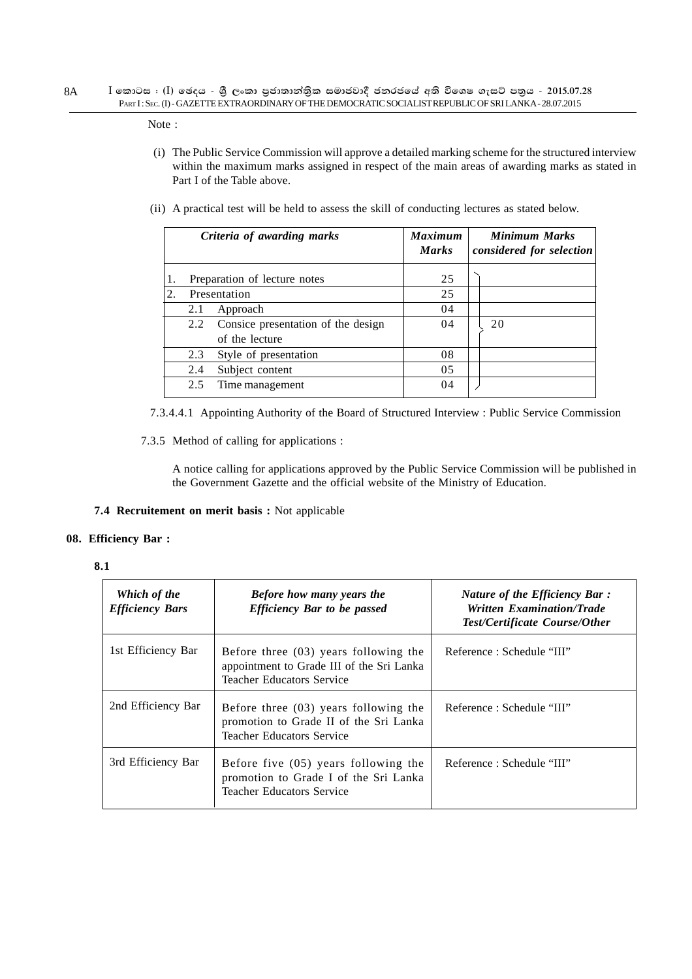Note :

- (i) The Public Service Commission will approve a detailed marking scheme for the structured interview within the maximum marks assigned in respect of the main areas of awarding marks as stated in Part I of the Table above.
- (ii) A practical test will be held to assess the skill of conducting lectures as stated below.

|    |              | Criteria of awarding marks                           | <b>Maximum</b><br><b>Marks</b> | <b>Minimum Marks</b><br>considered for selection |
|----|--------------|------------------------------------------------------|--------------------------------|--------------------------------------------------|
| 1. |              | Preparation of lecture notes                         | 25                             |                                                  |
| 2. | Presentation |                                                      | 25                             |                                                  |
|    | 2.1          | Approach                                             | 04                             |                                                  |
|    | 2.2          | Consice presentation of the design<br>of the lecture | 04                             | 20                                               |
|    | 2.3          | Style of presentation                                | 08                             |                                                  |
|    | 2.4          | Subject content                                      | 05                             |                                                  |
|    | 2.5          | Time management                                      | 04                             |                                                  |

7.3.4.4.1 Appointing Authority of the Board of Structured Interview : Public Service Commission

7.3.5 Method of calling for applications :

A notice calling for applications approved by the Public Service Commission will be published in the Government Gazette and the official website of the Ministry of Education.

# **7.4 Recruitement on merit basis :** Not applicable

# **08. Efficiency Bar :**

**8.1**

| Which of the<br><b>Efficiency Bars</b> | <b>Before how many years the</b><br><b>Efficiency Bar to be passed</b>                                                   | <i>Nature of the Efficiency Bar:</i><br><b>Written Examination/Trade</b><br>Test/Certificate Course/Other |
|----------------------------------------|--------------------------------------------------------------------------------------------------------------------------|-----------------------------------------------------------------------------------------------------------|
| 1st Efficiency Bar                     | Before three $(03)$ years following the<br>appointment to Grade III of the Sri Lanka<br><b>Teacher Educators Service</b> | Reference: Schedule "III"                                                                                 |
| 2nd Efficiency Bar                     | Before three $(03)$ years following the<br>promotion to Grade II of the Sri Lanka<br>Teacher Educators Service           | Reference: Schedule "III"                                                                                 |
| 3rd Efficiency Bar                     | Before five $(05)$ years following the<br>promotion to Grade I of the Sri Lanka<br><b>Teacher Educators Service</b>      | Reference: Schedule "III"                                                                                 |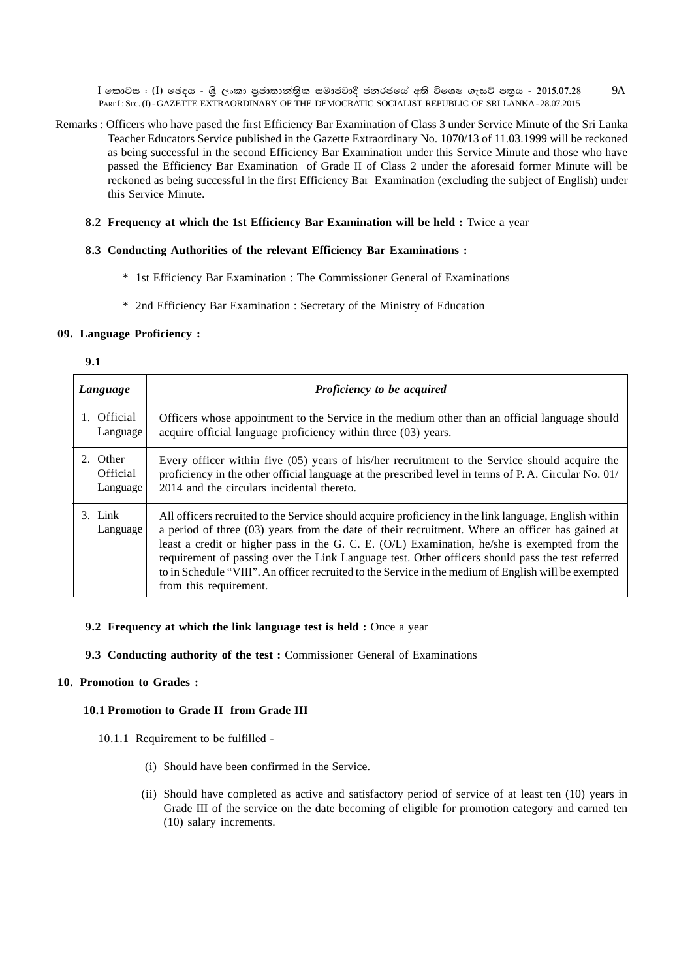$I$  කොටස : (I) ඡෙදය - ශීූ ලංකා පුජාතාන්තිුක සමාජවාදී ජනරජයේ අති විශෙෂ ගැසට් පතුය - 2015.07.28 PART I: SEC. (I) - GAZETTE EXTRAORDINARY OF THE DEMOCRATIC SOCIALIST REPUBLIC OF SRI LANKA - 28.07.2015 9A

Remarks : Officers who have pased the first Efficiency Bar Examination of Class 3 under Service Minute of the Sri Lanka Teacher Educators Service published in the Gazette Extraordinary No. 1070/13 of 11.03.1999 will be reckoned as being successful in the second Efficiency Bar Examination under this Service Minute and those who have passed the Efficiency Bar Examination of Grade II of Class 2 under the aforesaid former Minute will be reckoned as being successful in the first Efficiency Bar Examination (excluding the subject of English) under this Service Minute.

### **8.2 Frequency at which the 1st Efficiency Bar Examination will be held :** Twice a year

#### **8.3 Conducting Authorities of the relevant Efficiency Bar Examinations :**

- \* 1st Efficiency Bar Examination : The Commissioner General of Examinations
- \* 2nd Efficiency Bar Examination : Secretary of the Ministry of Education

#### **09. Language Proficiency :**

#### **9.1**

| Language |                                  | Proficiency to be acquired                                                                                                                                                                                                                                                                                                                                                                                                                                                                                                                     |
|----------|----------------------------------|------------------------------------------------------------------------------------------------------------------------------------------------------------------------------------------------------------------------------------------------------------------------------------------------------------------------------------------------------------------------------------------------------------------------------------------------------------------------------------------------------------------------------------------------|
|          | 1. Official<br>Language          | Officers whose appointment to the Service in the medium other than an official language should<br>acquire official language proficiency within three (03) years.                                                                                                                                                                                                                                                                                                                                                                               |
|          | 2. Other<br>Official<br>Language | Every officer within five (05) years of his/her recruitment to the Service should acquire the<br>proficiency in the other official language at the prescribed level in terms of P.A. Circular No. 01/<br>2014 and the circulars incidental thereto.                                                                                                                                                                                                                                                                                            |
|          | 3. Link<br>Language              | All officers recruited to the Service should acquire proficiency in the link language, English within<br>a period of three (03) years from the date of their recruitment. Where an officer has gained at<br>least a credit or higher pass in the G. C. E. (O/L) Examination, he/she is exempted from the<br>requirement of passing over the Link Language test. Other officers should pass the test referred<br>to in Schedule "VIII". An officer recruited to the Service in the medium of English will be exempted<br>from this requirement. |

#### **9.2 Frequency at which the link language test is held :** Once a year

**9.3 Conducting authority of the test :** Commissioner General of Examinations

## **10. Promotion to Grades :**

# **10.1 Promotion to Grade II from Grade III**

10.1.1 Requirement to be fulfilled -

- (i) Should have been confirmed in the Service.
- (ii) Should have completed as active and satisfactory period of service of at least ten (10) years in Grade III of the service on the date becoming of eligible for promotion category and earned ten (10) salary increments.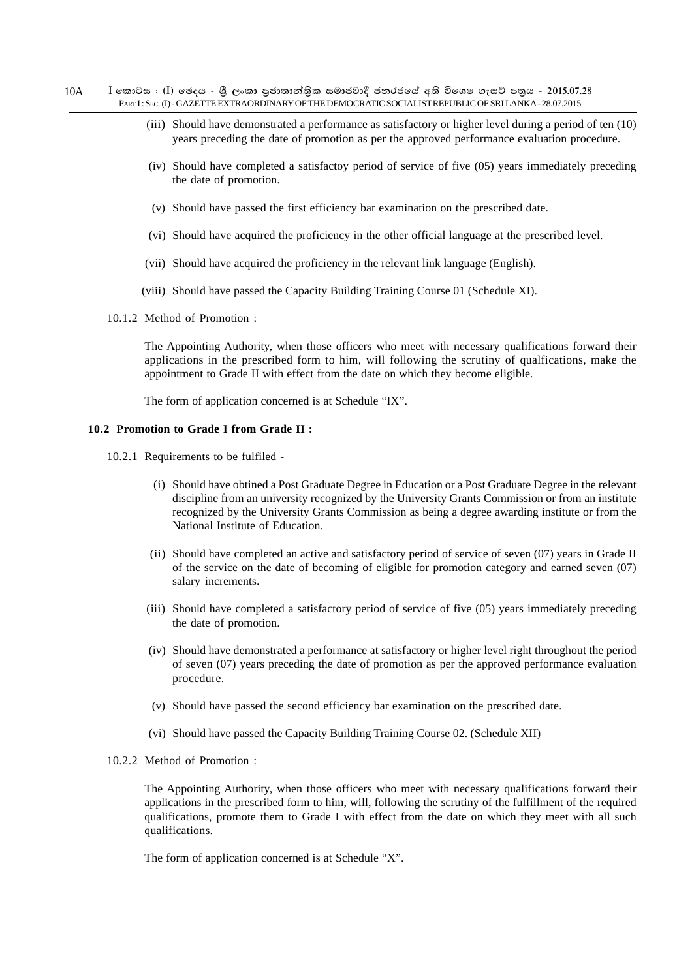- $\overline{\phantom{s}}$ I කොටස : (I) ඡෙදය ශීූ ලංකා පුජාතාන්තිුක සමාජවාදී ජනරජයේ අති විශෙෂ ගැසට් පතුය 2015.07.28 PART I : SEC. (I) - GAZETTE EXTRAORDINARY OF THE DEMOCRATIC SOCIALIST REPUBLIC OF SRI LANKA - 28.07.2015 10A
	- (iii) Should have demonstrated a performance as satisfactory or higher level during a period of ten (10) years preceding the date of promotion as per the approved performance evaluation procedure.
	- (iv) Should have completed a satisfactoy period of service of five (05) years immediately preceding the date of promotion.
	- (v) Should have passed the first efficiency bar examination on the prescribed date.
	- (vi) Should have acquired the proficiency in the other official language at the prescribed level.
	- (vii) Should have acquired the proficiency in the relevant link language (English).
	- (viii) Should have passed the Capacity Building Training Course 01 (Schedule XI).
	- 10.1.2 Method of Promotion :

The Appointing Authority, when those officers who meet with necessary qualifications forward their applications in the prescribed form to him, will following the scrutiny of qualfications, make the appointment to Grade II with effect from the date on which they become eligible.

The form of application concerned is at Schedule "IX".

# **10.2 Promotion to Grade I from Grade II :**

- 10.2.1 Requirements to be fulfiled
	- (i) Should have obtined a Post Graduate Degree in Education or a Post Graduate Degree in the relevant discipline from an university recognized by the University Grants Commission or from an institute recognized by the University Grants Commission as being a degree awarding institute or from the National Institute of Education.
	- (ii) Should have completed an active and satisfactory period of service of seven (07) years in Grade II of the service on the date of becoming of eligible for promotion category and earned seven (07) salary increments.
	- (iii) Should have completed a satisfactory period of service of five (05) years immediately preceding the date of promotion.
	- (iv) Should have demonstrated a performance at satisfactory or higher level right throughout the period of seven (07) years preceding the date of promotion as per the approved performance evaluation procedure.
	- (v) Should have passed the second efficiency bar examination on the prescribed date.
	- (vi) Should have passed the Capacity Building Training Course 02. (Schedule XII)

### 10.2.2 Method of Promotion :

The Appointing Authority, when those officers who meet with necessary qualifications forward their applications in the prescribed form to him, will, following the scrutiny of the fulfillment of the required qualifications, promote them to Grade I with effect from the date on which they meet with all such qualifications.

The form of application concerned is at Schedule "X".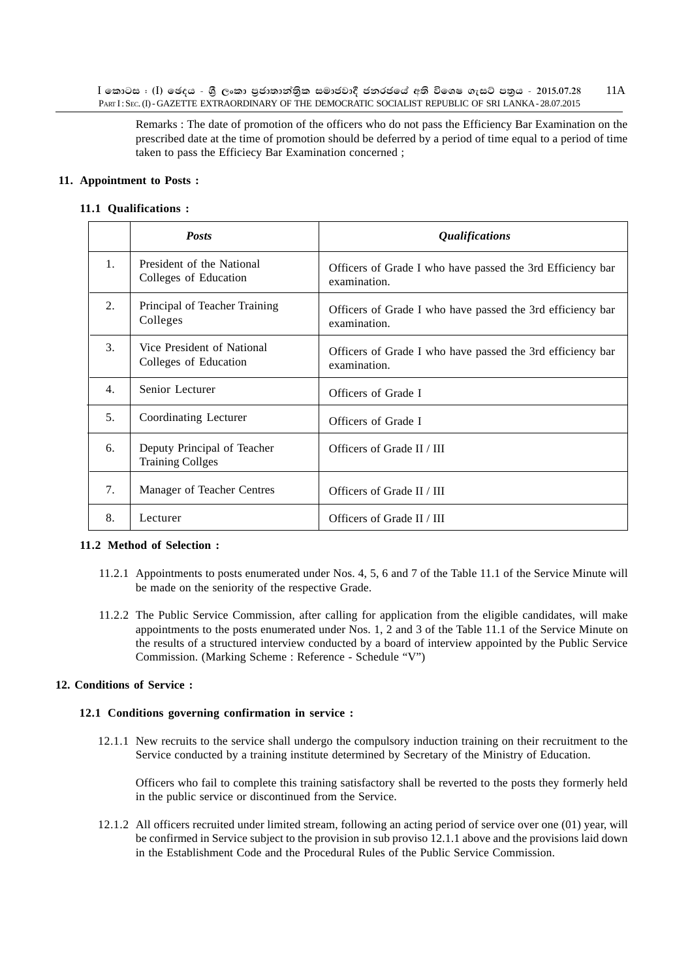$I$  කොටස : (I) ඡෙදය - ශීූ ලංකා පුජාතාන්තිුක සමාජවාදී ජනරජයේ අති විශෙෂ ගැසට් පතුය - 2015.07.28 PART I : SEC. (I) - GAZETTE EXTRAORDINARY OF THE DEMOCRATIC SOCIALIST REPUBLIC OF SRI LANKA - 28.07.2015 11A

Remarks : The date of promotion of the officers who do not pass the Efficiency Bar Examination on the prescribed date at the time of promotion should be deferred by a period of time equal to a period of time taken to pass the Efficiecy Bar Examination concerned ;

# **11. Appointment to Posts :**

#### **11.1 Qualifications :**

|                | <b>Posts</b>                                           | <i><b>Qualifications</b></i>                                               |
|----------------|--------------------------------------------------------|----------------------------------------------------------------------------|
| 1 <sub>1</sub> | President of the National<br>Colleges of Education     | Officers of Grade I who have passed the 3rd Efficiency bar<br>examination. |
| 2.             | Principal of Teacher Training<br>Colleges              | Officers of Grade I who have passed the 3rd efficiency bar<br>examination. |
| 3.             | Vice President of National<br>Colleges of Education    | Officers of Grade I who have passed the 3rd efficiency bar<br>examination. |
| 4.             | Senior Lecturer                                        | Officers of Grade I                                                        |
| 5.             | Coordinating Lecturer                                  | Officers of Grade I                                                        |
| 6.             | Deputy Principal of Teacher<br><b>Training Collges</b> | Officers of Grade II / III                                                 |
| 7.             | Manager of Teacher Centres                             | Officers of Grade II / III                                                 |
| 8.             | Lecturer                                               | Officers of Grade II / III                                                 |

#### **11.2 Method of Selection :**

- 11.2.1 Appointments to posts enumerated under Nos. 4, 5, 6 and 7 of the Table 11.1 of the Service Minute will be made on the seniority of the respective Grade.
- 11.2.2 The Public Service Commission, after calling for application from the eligible candidates, will make appointments to the posts enumerated under Nos. 1, 2 and 3 of the Table 11.1 of the Service Minute on the results of a structured interview conducted by a board of interview appointed by the Public Service Commission. (Marking Scheme : Reference - Schedule "V")

# **12. Conditions of Service :**

#### **12.1 Conditions governing confirmation in service :**

12.1.1 New recruits to the service shall undergo the compulsory induction training on their recruitment to the Service conducted by a training institute determined by Secretary of the Ministry of Education.

Officers who fail to complete this training satisfactory shall be reverted to the posts they formerly held in the public service or discontinued from the Service.

12.1.2 All officers recruited under limited stream, following an acting period of service over one (01) year, will be confirmed in Service subject to the provision in sub proviso 12.1.1 above and the provisions laid down in the Establishment Code and the Procedural Rules of the Public Service Commission.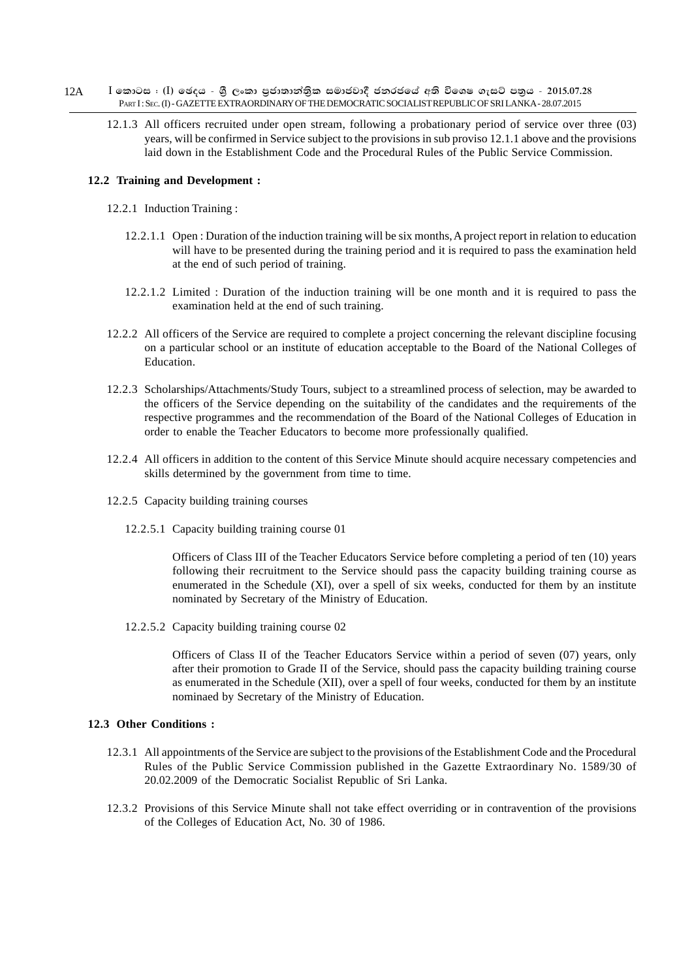- $I$  කොටස : (I) ඡෙදය ශීු ලංකා පුජාතාන්තිුක සමාජවාදී ජනරජයේ අති විශෙෂ ගැසට් පතුය 2015.07.28 PART I : SEC. (I) - GAZETTE EXTRAORDINARY OF THE DEMOCRATIC SOCIALIST REPUBLIC OF SRI LANKA - 28.07.2015 12A
	- 12.1.3 All officers recruited under open stream, following a probationary period of service over three (03) years, will be confirmed in Service subject to the provisions in sub proviso 12.1.1 above and the provisions laid down in the Establishment Code and the Procedural Rules of the Public Service Commission.

#### **12.2 Training and Development :**

- 12.2.1 Induction Training :
	- 12.2.1.1 Open : Duration of the induction training will be six months, A project report in relation to education will have to be presented during the training period and it is required to pass the examination held at the end of such period of training.
	- 12.2.1.2 Limited : Duration of the induction training will be one month and it is required to pass the examination held at the end of such training.
- 12.2.2 All officers of the Service are required to complete a project concerning the relevant discipline focusing on a particular school or an institute of education acceptable to the Board of the National Colleges of Education.
- 12.2.3 Scholarships/Attachments/Study Tours, subject to a streamlined process of selection, may be awarded to the officers of the Service depending on the suitability of the candidates and the requirements of the respective programmes and the recommendation of the Board of the National Colleges of Education in order to enable the Teacher Educators to become more professionally qualified.
- 12.2.4 All officers in addition to the content of this Service Minute should acquire necessary competencies and skills determined by the government from time to time.
- 12.2.5 Capacity building training courses
	- 12.2.5.1 Capacity building training course 01

Officers of Class III of the Teacher Educators Service before completing a period of ten (10) years following their recruitment to the Service should pass the capacity building training course as enumerated in the Schedule (XI), over a spell of six weeks, conducted for them by an institute nominated by Secretary of the Ministry of Education.

12.2.5.2 Capacity building training course 02

Officers of Class II of the Teacher Educators Service within a period of seven (07) years, only after their promotion to Grade II of the Service, should pass the capacity building training course as enumerated in the Schedule (XII), over a spell of four weeks, conducted for them by an institute nominaed by Secretary of the Ministry of Education.

#### **12.3 Other Conditions :**

- 12.3.1 All appointments of the Service are subject to the provisions of the Establishment Code and the Procedural Rules of the Public Service Commission published in the Gazette Extraordinary No. 1589/30 of 20.02.2009 of the Democratic Socialist Republic of Sri Lanka.
- 12.3.2 Provisions of this Service Minute shall not take effect overriding or in contravention of the provisions of the Colleges of Education Act, No. 30 of 1986.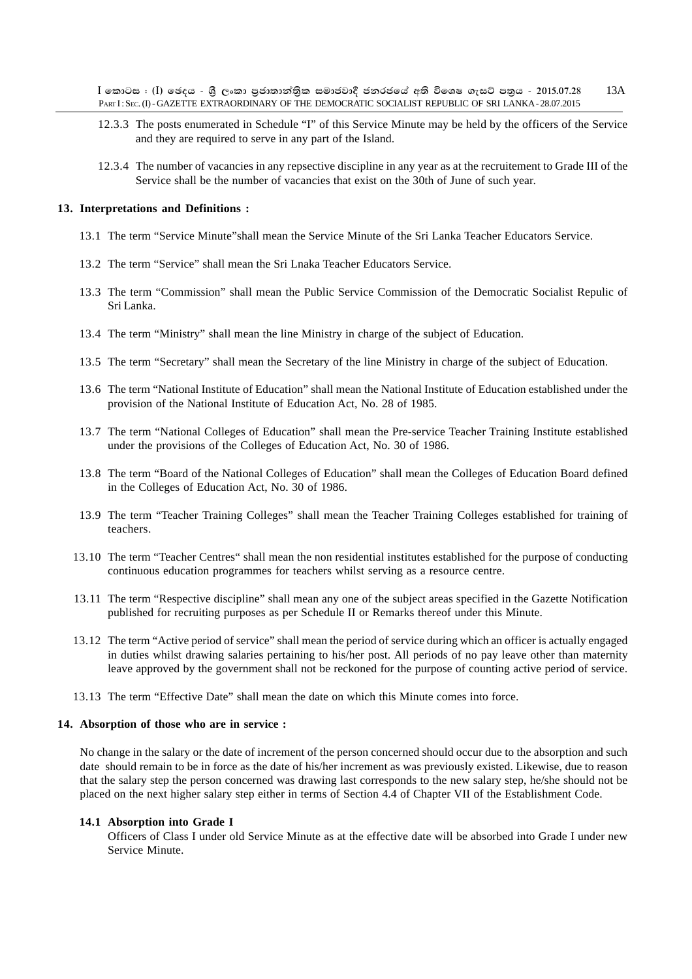$I$  කොටස : (I) ඡෙදය - ශීූ ලංකා පුජාතාන්තිුක සමාජවාදී ජනරජයේ අති විශෙෂ ගැසට් පතුය - 2015.07.28 PART I: SEC. (I) - GAZETTE EXTRAORDINARY OF THE DEMOCRATIC SOCIALIST REPUBLIC OF SRI LANKA - 28.07.2015 13A

- 12.3.3 The posts enumerated in Schedule "I" of this Service Minute may be held by the officers of the Service and they are required to serve in any part of the Island.
- 12.3.4 The number of vacancies in any repsective discipline in any year as at the recruitement to Grade III of the Service shall be the number of vacancies that exist on the 30th of June of such year.

#### **13. Interpretations and Definitions :**

- 13.1 The term "Service Minute"shall mean the Service Minute of the Sri Lanka Teacher Educators Service.
- 13.2 The term "Service" shall mean the Sri Lnaka Teacher Educators Service.
- 13.3 The term "Commission" shall mean the Public Service Commission of the Democratic Socialist Repulic of Sri Lanka.
- 13.4 The term "Ministry" shall mean the line Ministry in charge of the subject of Education.
- 13.5 The term "Secretary" shall mean the Secretary of the line Ministry in charge of the subject of Education.
- 13.6 The term "National Institute of Education" shall mean the National Institute of Education established under the provision of the National Institute of Education Act, No. 28 of 1985.
- 13.7 The term "National Colleges of Education" shall mean the Pre-service Teacher Training Institute established under the provisions of the Colleges of Education Act, No. 30 of 1986.
- 13.8 The term "Board of the National Colleges of Education" shall mean the Colleges of Education Board defined in the Colleges of Education Act, No. 30 of 1986.
- 13.9 The term "Teacher Training Colleges" shall mean the Teacher Training Colleges established for training of teachers.
- 13.10 The term "Teacher Centres" shall mean the non residential institutes established for the purpose of conducting continuous education programmes for teachers whilst serving as a resource centre.
- 13.11 The term "Respective discipline" shall mean any one of the subject areas specified in the Gazette Notification published for recruiting purposes as per Schedule II or Remarks thereof under this Minute.
- 13.12 The term "Active period of service" shall mean the period of service during which an officer is actually engaged in duties whilst drawing salaries pertaining to his/her post. All periods of no pay leave other than maternity leave approved by the government shall not be reckoned for the purpose of counting active period of service.
- 13.13 The term "Effective Date" shall mean the date on which this Minute comes into force.

#### **14. Absorption of those who are in service :**

No change in the salary or the date of increment of the person concerned should occur due to the absorption and such date should remain to be in force as the date of his/her increment as was previously existed. Likewise, due to reason that the salary step the person concerned was drawing last corresponds to the new salary step, he/she should not be placed on the next higher salary step either in terms of Section 4.4 of Chapter VII of the Establishment Code.

#### **14.1 Absorption into Grade I**

Officers of Class I under old Service Minute as at the effective date will be absorbed into Grade I under new Service Minute.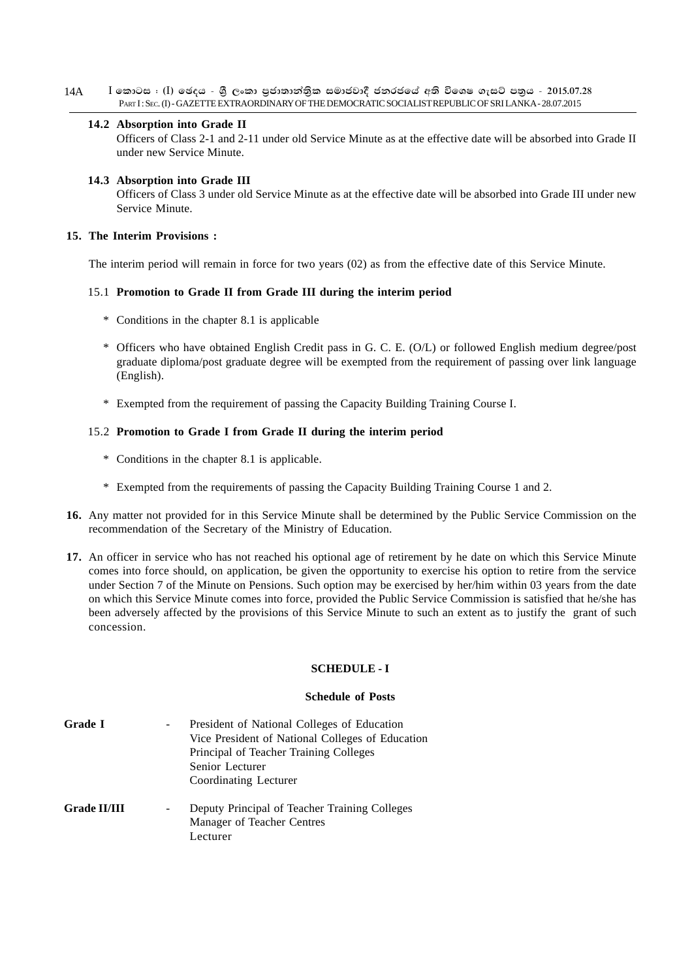$I$  කොටස : (I) ඡෙදය - ශීු ලංකා පුජාතාන්තිුක සමාජවාදී ජනරජයේ අති විශෙෂ ගැසට් පතුය - 2015.07.28 PART I : SEC. (I) - GAZETTE EXTRAORDINARY OF THE DEMOCRATIC SOCIALIST REPUBLIC OF SRI LANKA - 28.07.2015 14A

### **14.2 Absorption into Grade II**

Officers of Class 2-1 and 2-11 under old Service Minute as at the effective date will be absorbed into Grade II under new Service Minute.

#### **14.3 Absorption into Grade III**

Officers of Class 3 under old Service Minute as at the effective date will be absorbed into Grade III under new Service Minute.

#### **15. The Interim Provisions :**

The interim period will remain in force for two years (02) as from the effective date of this Service Minute.

#### 15.1 **Promotion to Grade II from Grade III during the interim period**

- \* Conditions in the chapter 8.1 is applicable
- \* Officers who have obtained English Credit pass in G. C. E. (O/L) or followed English medium degree/post graduate diploma/post graduate degree will be exempted from the requirement of passing over link language (English).
- \* Exempted from the requirement of passing the Capacity Building Training Course I.

#### 15.2 **Promotion to Grade I from Grade II during the interim period**

- \* Conditions in the chapter 8.1 is applicable.
- \* Exempted from the requirements of passing the Capacity Building Training Course 1 and 2.
- **16.** Any matter not provided for in this Service Minute shall be determined by the Public Service Commission on the recommendation of the Secretary of the Ministry of Education.
- **17.** An officer in service who has not reached his optional age of retirement by he date on which this Service Minute comes into force should, on application, be given the opportunity to exercise his option to retire from the service under Section 7 of the Minute on Pensions. Such option may be exercised by her/him within 03 years from the date on which this Service Minute comes into force, provided the Public Service Commission is satisfied that he/she has been adversely affected by the provisions of this Service Minute to such an extent as to justify the grant of such concession.

#### **SCHEDULE - I**

#### **Schedule of Posts**

| Grade I             |        | President of National Colleges of Education      |
|---------------------|--------|--------------------------------------------------|
|                     |        | Vice President of National Colleges of Education |
|                     |        | Principal of Teacher Training Colleges           |
|                     |        | Senior Lecturer                                  |
|                     |        | Coordinating Lecturer                            |
| <b>Grade II/III</b> | $\sim$ | Deputy Principal of Teacher Training Colleges    |
|                     |        | Manager of Teacher Centres                       |

Lecturer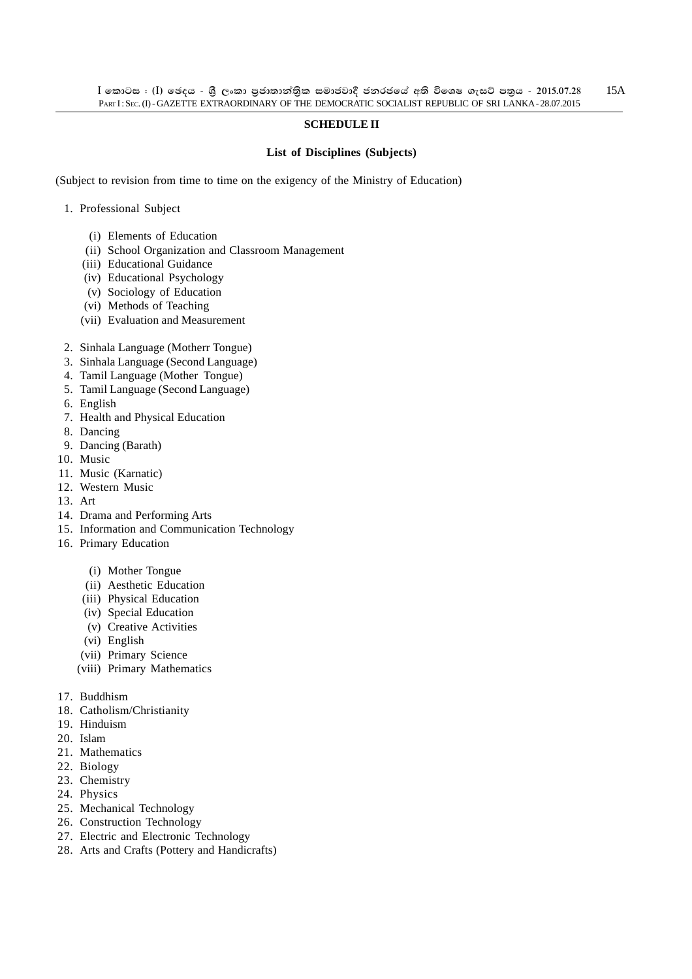# **SCHEDULE II**

# **List of Disciplines (Subjects)**

(Subject to revision from time to time on the exigency of the Ministry of Education)

1. Professional Subject

- (i) Elements of Education
- (ii) School Organization and Classroom Management
- (iii) Educational Guidance
- (iv) Educational Psychology
- (v) Sociology of Education
- (vi) Methods of Teaching
- (vii) Evaluation and Measurement
- 2. Sinhala Language (Motherr Tongue)
- 3. Sinhala Language (Second Language)
- 4. Tamil Language (Mother Tongue)
- 5. Tamil Language (Second Language)
- 6. English
- 7. Health and Physical Education
- 8. Dancing
- 9. Dancing (Barath)
- 10. Music
- 11. Music (Karnatic)
- 12. Western Music
- 13. Art
- 14. Drama and Performing Arts
- 15. Information and Communication Technology
- 16. Primary Education
	- (i) Mother Tongue
	- (ii) Aesthetic Education
	- (iii) Physical Education
	- (iv) Special Education
	- (v) Creative Activities
	- (vi) English
	- (vii) Primary Science
	- (viii) Primary Mathematics
- 17. Buddhism
- 18. Catholism/Christianity
- 19. Hinduism
- 20. Islam
- 21. Mathematics
- 22. Biology
- 23. Chemistry
- 24. Physics
- 25. Mechanical Technology
- 26. Construction Technology
- 27. Electric and Electronic Technology
- 28. Arts and Crafts (Pottery and Handicrafts)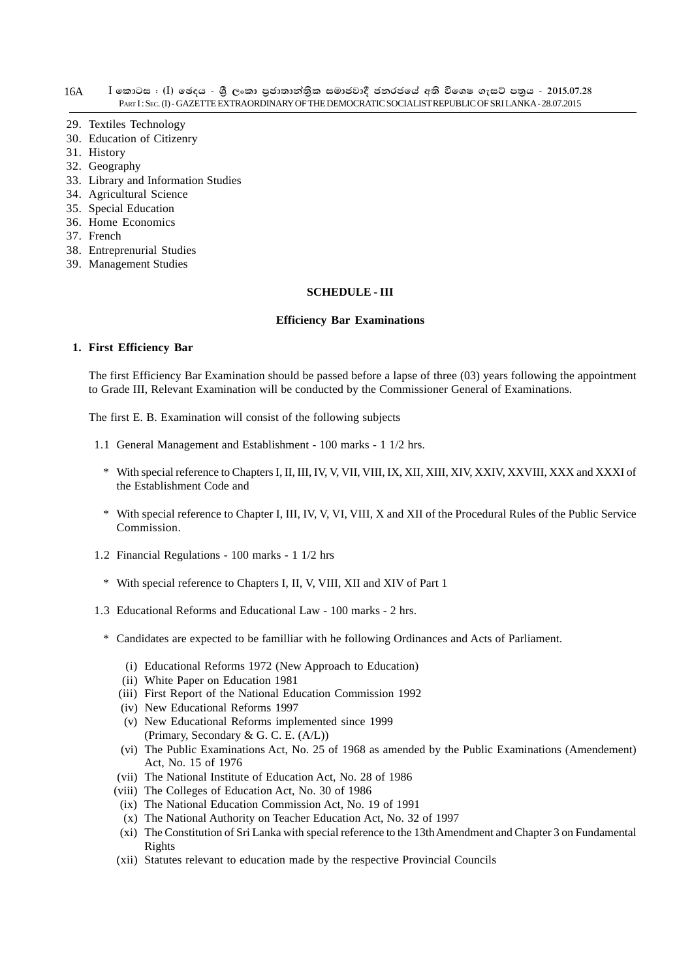- 29. Textiles Technology
- 30. Education of Citizenry
- 31. History
- 32. Geography
- 33. Library and Information Studies
- 34. Agricultural Science
- 35. Special Education
- 36. Home Economics
- 37. French
- 38. Entreprenurial Studies
- 39. Management Studies

#### **SCHEDULE - III**

#### **Efficiency Bar Examinations**

#### **1. First Efficiency Bar**

The first Efficiency Bar Examination should be passed before a lapse of three (03) years following the appointment to Grade III, Relevant Examination will be conducted by the Commissioner General of Examinations.

The first E. B. Examination will consist of the following subjects

- 1.1 General Management and Establishment 100 marks 1 1/2 hrs.
	- \* With special reference to Chapters I, II, III, IV, V, VII, VIII, IX, XII, XIII, XIV, XXIV, XXVIII, XXX and XXXI of the Establishment Code and
	- \* With special reference to Chapter I, III, IV, V, VI, VIII, X and XII of the Procedural Rules of the Public Service Commission.
- 1.2 Financial Regulations 100 marks 1 1/2 hrs
	- \* With special reference to Chapters I, II, V, VIII, XII and XIV of Part 1
- 1.3 Educational Reforms and Educational Law 100 marks 2 hrs.
	- \* Candidates are expected to be familliar with he following Ordinances and Acts of Parliament.
		- (i) Educational Reforms 1972 (New Approach to Education)
		- (ii) White Paper on Education 1981
		- (iii) First Report of the National Education Commission 1992
		- (iv) New Educational Reforms 1997
		- (v) New Educational Reforms implemented since 1999 (Primary, Secondary & G. C. E. (A/L))
		- (vi) The Public Examinations Act, No. 25 of 1968 as amended by the Public Examinations (Amendement) Act, No. 15 of 1976
		- (vii) The National Institute of Education Act, No. 28 of 1986
		- (viii) The Colleges of Education Act, No. 30 of 1986
		- (ix) The National Education Commission Act, No. 19 of 1991
		- (x) The National Authority on Teacher Education Act, No. 32 of 1997
		- (xi) The Constitution of Sri Lanka with special reference to the 13th Amendment and Chapter 3 on Fundamental Rights
		- (xii) Statutes relevant to education made by the respective Provincial Councils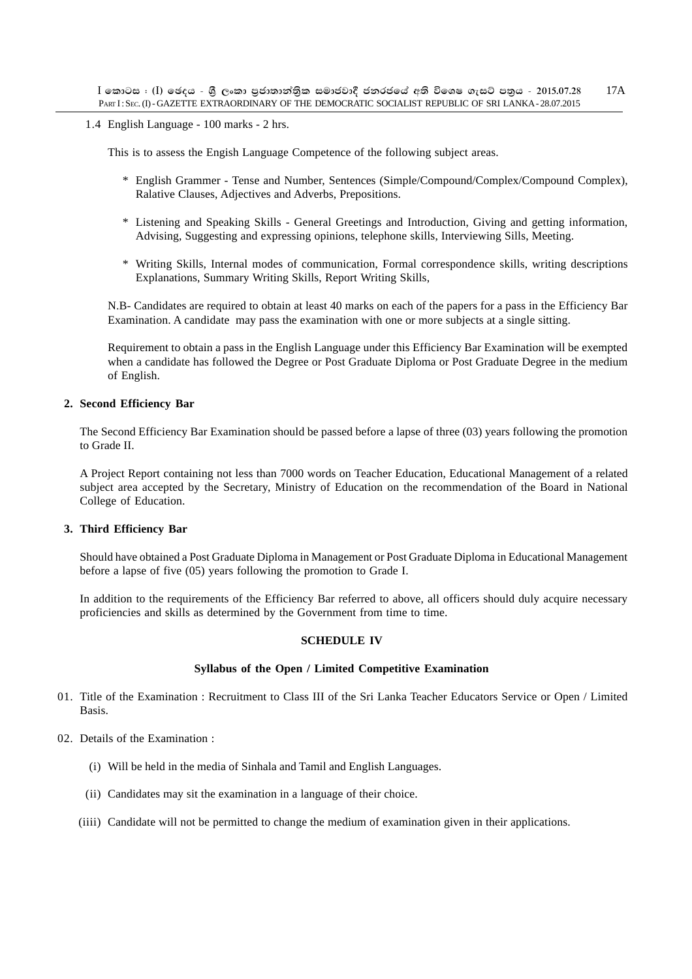1.4 English Language - 100 marks - 2 hrs.

This is to assess the Engish Language Competence of the following subject areas.

- \* English Grammer Tense and Number, Sentences (Simple/Compound/Complex/Compound Complex), Ralative Clauses, Adjectives and Adverbs, Prepositions.
- \* Listening and Speaking Skills General Greetings and Introduction, Giving and getting information, Advising, Suggesting and expressing opinions, telephone skills, Interviewing Sills, Meeting.
- \* Writing Skills, Internal modes of communication, Formal correspondence skills, writing descriptions Explanations, Summary Writing Skills, Report Writing Skills,

N.B- Candidates are required to obtain at least 40 marks on each of the papers for a pass in the Efficiency Bar Examination. A candidate may pass the examination with one or more subjects at a single sitting.

Requirement to obtain a pass in the English Language under this Efficiency Bar Examination will be exempted when a candidate has followed the Degree or Post Graduate Diploma or Post Graduate Degree in the medium of English.

#### **2. Second Efficiency Bar**

The Second Efficiency Bar Examination should be passed before a lapse of three (03) years following the promotion to Grade II.

A Project Report containing not less than 7000 words on Teacher Education, Educational Management of a related subject area accepted by the Secretary, Ministry of Education on the recommendation of the Board in National College of Education.

### **3. Third Efficiency Bar**

Should have obtained a Post Graduate Diploma in Management or Post Graduate Diploma in Educational Management before a lapse of five (05) years following the promotion to Grade I.

In addition to the requirements of the Efficiency Bar referred to above, all officers should duly acquire necessary proficiencies and skills as determined by the Government from time to time.

# **SCHEDULE IV**

#### **Syllabus of the Open / Limited Competitive Examination**

- 01. Title of the Examination : Recruitment to Class III of the Sri Lanka Teacher Educators Service or Open / Limited Basis.
- 02. Details of the Examination :
	- (i) Will be held in the media of Sinhala and Tamil and English Languages.
	- (ii) Candidates may sit the examination in a language of their choice.
	- (iiii) Candidate will not be permitted to change the medium of examination given in their applications.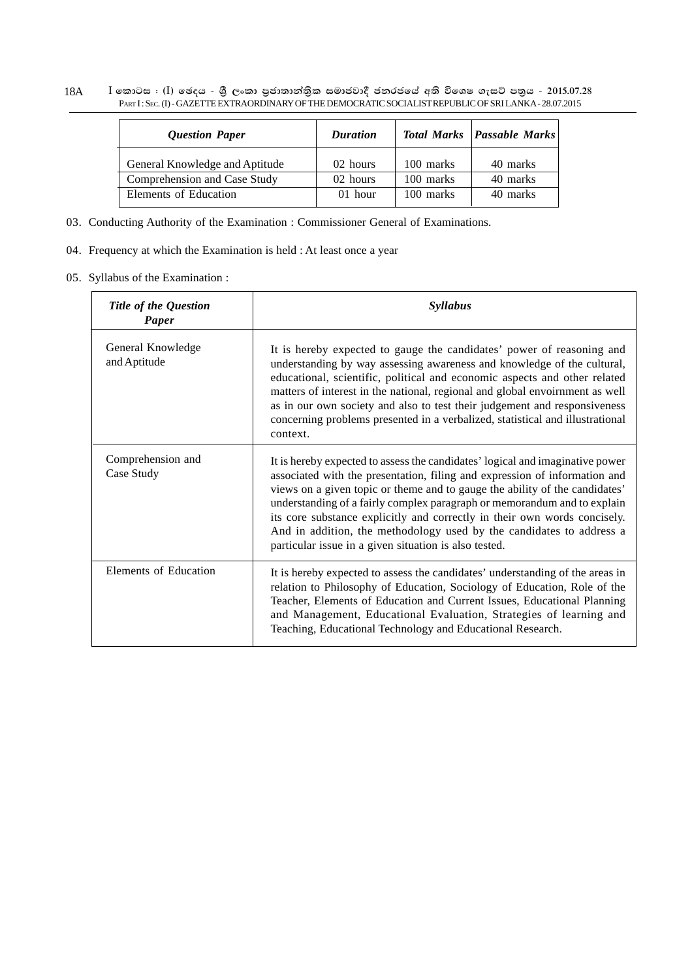$\rm I$  කොටස : (I) ඡෙදය - ශීු ලංකා පුජාතාන්තිුක සමාජවාදී ජනරජයේ අති විශෙෂ ගැසට් පතුය - 2015.07.28 PART I : SEC. (I) - GAZETTE EXTRAORDINARY OF THE DEMOCRATIC SOCIALIST REPUBLIC OF SRI LANKA - 28.07.2015 18A

| <b>Question Paper</b>          | <b>Duration</b> |           | Total Marks   Passable Marks |
|--------------------------------|-----------------|-----------|------------------------------|
| General Knowledge and Aptitude | 02 hours        | 100 marks | 40 marks                     |
| Comprehension and Case Study   | 02 hours        | 100 marks | 40 marks                     |
| Elements of Education          | $01$ hour       | 100 marks | 40 marks                     |

- 03. Conducting Authority of the Examination : Commissioner General of Examinations.
- 04. Frequency at which the Examination is held : At least once a year
- 05. Syllabus of the Examination :

| Title of the Question<br>Paper    | <b>Syllabus</b>                                                                                                                                                                                                                                                                                                                                                                                                                                                                                                                      |
|-----------------------------------|--------------------------------------------------------------------------------------------------------------------------------------------------------------------------------------------------------------------------------------------------------------------------------------------------------------------------------------------------------------------------------------------------------------------------------------------------------------------------------------------------------------------------------------|
| General Knowledge<br>and Aptitude | It is hereby expected to gauge the candidates' power of reasoning and<br>understanding by way assessing awareness and knowledge of the cultural,<br>educational, scientific, political and economic aspects and other related<br>matters of interest in the national, regional and global envoirnment as well<br>as in our own society and also to test their judgement and responsiveness<br>concerning problems presented in a verbalized, statistical and illustrational<br>context.                                              |
| Comprehension and<br>Case Study   | It is hereby expected to assess the candidates' logical and imaginative power<br>associated with the presentation, filing and expression of information and<br>views on a given topic or theme and to gauge the ability of the candidates'<br>understanding of a fairly complex paragraph or memorandum and to explain<br>its core substance explicitly and correctly in their own words concisely.<br>And in addition, the methodology used by the candidates to address a<br>particular issue in a given situation is also tested. |
| Elements of Education             | It is hereby expected to assess the candidates' understanding of the areas in<br>relation to Philosophy of Education, Sociology of Education, Role of the<br>Teacher, Elements of Education and Current Issues, Educational Planning<br>and Management, Educational Evaluation, Strategies of learning and<br>Teaching, Educational Technology and Educational Research.                                                                                                                                                             |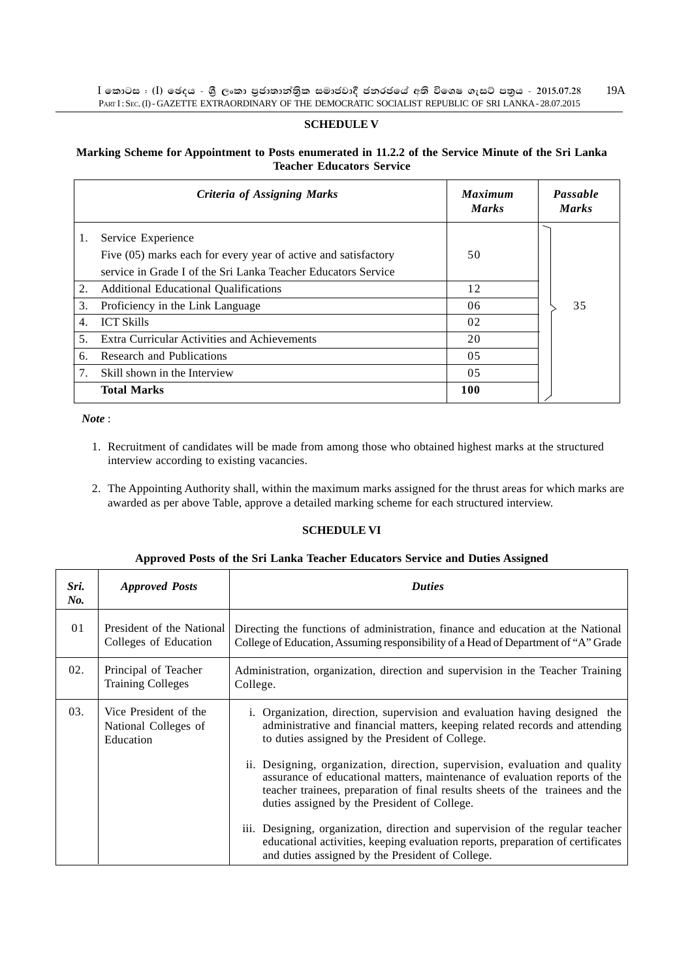# **SCHEDULE V**

# **Marking Scheme for Appointment to Posts enumerated in 11.2.2 of the Service Minute of the Sri Lanka Teacher Educators Service**

|                  | <b>Criteria of Assigning Marks</b>                             | <b>Maximum</b><br><b>Marks</b> | Passable<br><b>Marks</b> |
|------------------|----------------------------------------------------------------|--------------------------------|--------------------------|
| 1.               | Service Experience                                             |                                |                          |
|                  | Five (05) marks each for every year of active and satisfactory | 50                             |                          |
|                  | service in Grade I of the Sri Lanka Teacher Educators Service  |                                |                          |
| 2.               | <b>Additional Educational Qualifications</b>                   | 12                             |                          |
| 3.               | Proficiency in the Link Language                               | 06                             | 35                       |
| $\overline{4}$ . | <b>ICT Skills</b>                                              | 02                             |                          |
| 5.               | Extra Curricular Activities and Achievements                   | 20                             |                          |
| 6.               | Research and Publications                                      | 05                             |                          |
| 7.               | Skill shown in the Interview                                   | 0 <sub>5</sub>                 |                          |
|                  | <b>Total Marks</b>                                             | 100                            |                          |

 *Note* :

- 1. Recruitment of candidates will be made from among those who obtained highest marks at the structured interview according to existing vacancies.
- 2. The Appointing Authority shall, within the maximum marks assigned for the thrust areas for which marks are awarded as per above Table, approve a detailed marking scheme for each structured interview.

# **SCHEDULE VI**

# **Approved Posts of the Sri Lanka Teacher Educators Service and Duties Assigned**

| Sri.<br>No. | <b>Approved Posts</b>                                      | <b>Duties</b>                                                                                                                                                                                                                                                                              |  |  |
|-------------|------------------------------------------------------------|--------------------------------------------------------------------------------------------------------------------------------------------------------------------------------------------------------------------------------------------------------------------------------------------|--|--|
| 01          | President of the National<br>Colleges of Education         | Directing the functions of administration, finance and education at the National<br>College of Education, Assuming responsibility of a Head of Department of "A" Grade                                                                                                                     |  |  |
| 02.         | Principal of Teacher<br><b>Training Colleges</b>           | Administration, organization, direction and supervision in the Teacher Training<br>College.                                                                                                                                                                                                |  |  |
| 03.         | Vice President of the<br>National Colleges of<br>Education | i. Organization, direction, supervision and evaluation having designed the<br>administrative and financial matters, keeping related records and attending<br>to duties assigned by the President of College.                                                                               |  |  |
|             |                                                            | ii. Designing, organization, direction, supervision, evaluation and quality<br>assurance of educational matters, maintenance of evaluation reports of the<br>teacher trainees, preparation of final results sheets of the trainees and the<br>duties assigned by the President of College. |  |  |
|             |                                                            | iii. Designing, organization, direction and supervision of the regular teacher<br>educational activities, keeping evaluation reports, preparation of certificates<br>and duties assigned by the President of College.                                                                      |  |  |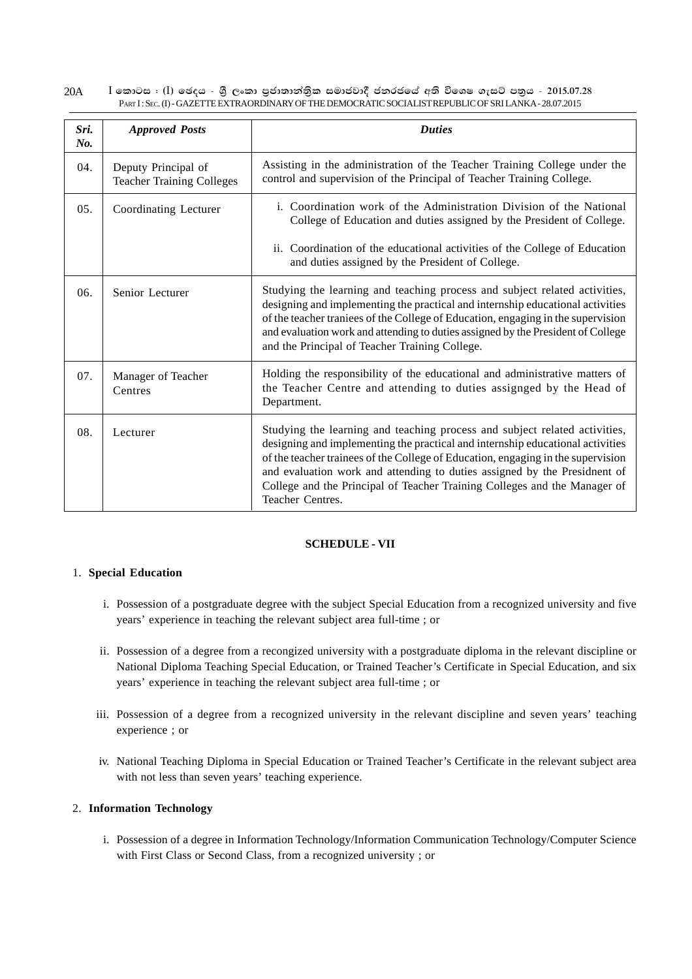| 20A |  |  | 【 කොටස : (I) ඡෙදය - ශීු ලංකා පුජාතාන්තිුක සමාජවාදී ජනරජයේ අති විශෙෂ ගැසට් පතුය - 2015.07.28             |  |  |  |  |
|-----|--|--|---------------------------------------------------------------------------------------------------------|--|--|--|--|
|     |  |  | PART I: SEC. (I) - GAZETTE EXTRAORDINARY OF THE DEMOCRATIC SOCIALIST REPUBLIC OF SRI LANKA - 28.07.2015 |  |  |  |  |

| Sri.<br>No. | <b>Approved Posts</b>                                   | <b>Duties</b>                                                                                                                                                                                                                                                                                                                                                                                                                  |
|-------------|---------------------------------------------------------|--------------------------------------------------------------------------------------------------------------------------------------------------------------------------------------------------------------------------------------------------------------------------------------------------------------------------------------------------------------------------------------------------------------------------------|
| 04.         | Deputy Principal of<br><b>Teacher Training Colleges</b> | Assisting in the administration of the Teacher Training College under the<br>control and supervision of the Principal of Teacher Training College.                                                                                                                                                                                                                                                                             |
| 05.         | Coordinating Lecturer                                   | <i>i.</i> Coordination work of the Administration Division of the National<br>College of Education and duties assigned by the President of College.                                                                                                                                                                                                                                                                            |
|             |                                                         | ii. Coordination of the educational activities of the College of Education<br>and duties assigned by the President of College.                                                                                                                                                                                                                                                                                                 |
| 06.         | Senior Lecturer                                         | Studying the learning and teaching process and subject related activities,<br>designing and implementing the practical and internship educational activities<br>of the teacher traniees of the College of Education, engaging in the supervision<br>and evaluation work and attending to duties assigned by the President of College<br>and the Principal of Teacher Training College.                                         |
| 07.         | Manager of Teacher<br>Centres                           | Holding the responsibility of the educational and administrative matters of<br>the Teacher Centre and attending to duties assignged by the Head of<br>Department.                                                                                                                                                                                                                                                              |
| 08.         | Lecturer                                                | Studying the learning and teaching process and subject related activities,<br>designing and implementing the practical and internship educational activities<br>of the teacher trainees of the College of Education, engaging in the supervision<br>and evaluation work and attending to duties assigned by the Presidnent of<br>College and the Principal of Teacher Training Colleges and the Manager of<br>Teacher Centres. |

# **SCHEDULE - VII**

# 1. **Special Education**

- i. Possession of a postgraduate degree with the subject Special Education from a recognized university and five years' experience in teaching the relevant subject area full-time ; or
- ii. Possession of a degree from a recongized university with a postgraduate diploma in the relevant discipline or National Diploma Teaching Special Education, or Trained Teacher's Certificate in Special Education, and six years' experience in teaching the relevant subject area full-time ; or
- iii. Possession of a degree from a recognized university in the relevant discipline and seven years' teaching experience ; or
- iv. National Teaching Diploma in Special Education or Trained Teacher's Certificate in the relevant subject area with not less than seven years' teaching experience.

# 2. **Information Technology**

i. Possession of a degree in Information Technology/Information Communication Technology/Computer Science with First Class or Second Class, from a recognized university ; or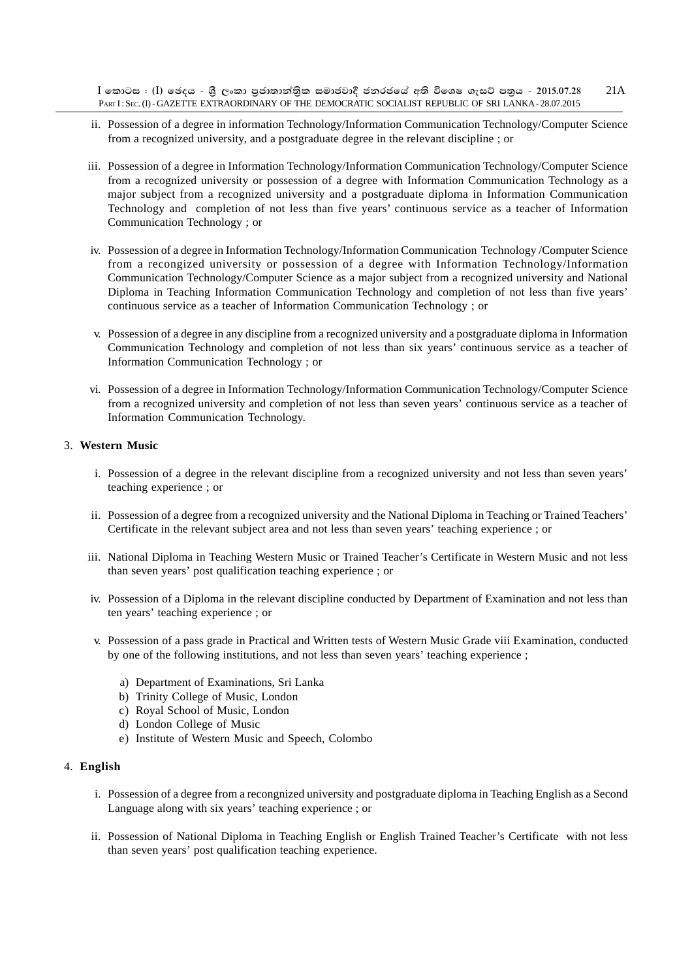$I$  කොටස : (I) ඡෙදය - ශීූ ලංකා පුජාතාන්තිුක සමාජවාදී ජනරජයේ අති විශෙෂ ගැසට් පතුය - 2015.07.28 PART I : SEC. (I) - GAZETTE EXTRAORDINARY OF THE DEMOCRATIC SOCIALIST REPUBLIC OF SRI LANKA - 28.07.2015 21A

- ii. Possession of a degree in information Technology/Information Communication Technology/Computer Science from a recognized university, and a postgraduate degree in the relevant discipline ; or
- iii. Possession of a degree in Information Technology/Information Communication Technology/Computer Science from a recognized university or possession of a degree with Information Communication Technology as a major subject from a recognized university and a postgraduate diploma in Information Communication Technology and completion of not less than five years' continuous service as a teacher of Information Communication Technology ; or
- iv. Possession of a degree in Information Technology/Information Communication Technology /Computer Science from a recongized university or possession of a degree with Information Technology/Information Communication Technology/Computer Science as a major subject from a recognized university and National Diploma in Teaching Information Communication Technology and completion of not less than five years' continuous service as a teacher of Information Communication Technology ; or
- v. Possession of a degree in any discipline from a recognized university and a postgraduate diploma in Information Communication Technology and completion of not less than six years' continuous service as a teacher of Information Communication Technology ; or
- vi. Possession of a degree in Information Technology/Information Communication Technology/Computer Science from a recognized university and completion of not less than seven years' continuous service as a teacher of Information Communication Technology.

# 3. **Western Music**

- i. Possession of a degree in the relevant discipline from a recognized university and not less than seven years' teaching experience ; or
- ii. Possession of a degree from a recognized university and the National Diploma in Teaching or Trained Teachers' Certificate in the relevant subject area and not less than seven years' teaching experience ; or
- iii. National Diploma in Teaching Western Music or Trained Teacher's Certificate in Western Music and not less than seven years' post qualification teaching experience ; or
- iv. Possession of a Diploma in the relevant discipline conducted by Department of Examination and not less than ten years' teaching experience ; or
- v. Possession of a pass grade in Practical and Written tests of Western Music Grade viii Examination, conducted by one of the following institutions, and not less than seven years' teaching experience ;
	- a) Department of Examinations, Sri Lanka
	- b) Trinity College of Music, London
	- c) Royal School of Music, London
	- d) London College of Music
	- e) Institute of Western Music and Speech, Colombo

#### 4. **English**

- i. Possession of a degree from a recongnized university and postgraduate diploma in Teaching English as a Second Language along with six years' teaching experience ; or
- ii. Possession of National Diploma in Teaching English or English Trained Teacher's Certificate with not less than seven years' post qualification teaching experience.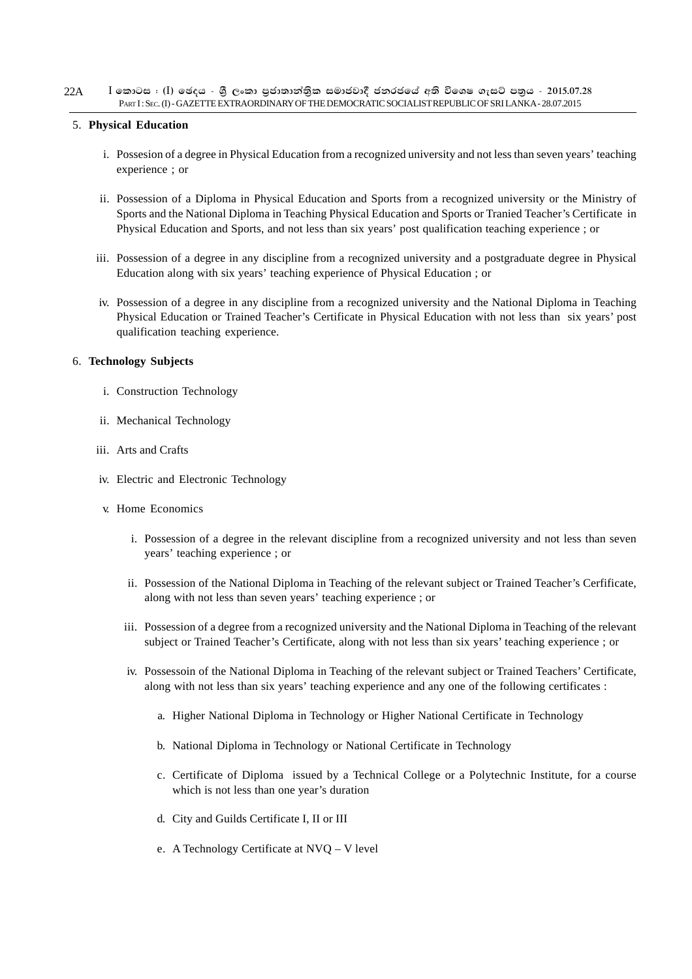#### $\overline{\phantom{s}}$ I කොටස : (I) ඡෙදය - ශීූ ලංකා පුජාතාන්තිුක සමාජවාදී ජනරජයේ අති විශෙෂ ගැසට් පතුය - 2015.07.28 PART I: SEC. (I) - GAZETTE EXTRAORDINARY OF THE DEMOCRATIC SOCIALIST REPUBLIC OF SRI LANKA - 28.07.2015 22A

#### 5. **Physical Education**

- i. Possesion of a degree in Physical Education from a recognized university and not less than seven years' teaching experience ; or
- ii. Possession of a Diploma in Physical Education and Sports from a recognized university or the Ministry of Sports and the National Diploma in Teaching Physical Education and Sports or Tranied Teacher's Certificate in Physical Education and Sports, and not less than six years' post qualification teaching experience ; or
- iii. Possession of a degree in any discipline from a recognized university and a postgraduate degree in Physical Education along with six years' teaching experience of Physical Education ; or
- iv. Possession of a degree in any discipline from a recognized university and the National Diploma in Teaching Physical Education or Trained Teacher's Certificate in Physical Education with not less than six years' post qualification teaching experience.

#### 6. **Technology Subjects**

- i. Construction Technology
- ii. Mechanical Technology
- iii. Arts and Crafts
- iv. Electric and Electronic Technology
- v. Home Economics
	- i. Possession of a degree in the relevant discipline from a recognized university and not less than seven years' teaching experience ; or
	- ii. Possession of the National Diploma in Teaching of the relevant subject or Trained Teacher's Cerfificate, along with not less than seven years' teaching experience ; or
	- iii. Possession of a degree from a recognized university and the National Diploma in Teaching of the relevant subject or Trained Teacher's Certificate, along with not less than six years' teaching experience ; or
	- iv. Possessoin of the National Diploma in Teaching of the relevant subject or Trained Teachers' Certificate, along with not less than six years' teaching experience and any one of the following certificates :
		- a. Higher National Diploma in Technology or Higher National Certificate in Technology
		- b. National Diploma in Technology or National Certificate in Technology
		- c. Certificate of Diploma issued by a Technical College or a Polytechnic Institute, for a course which is not less than one year's duration
		- d. City and Guilds Certificate I, II or III
		- e. A Technology Certificate at NVQ V level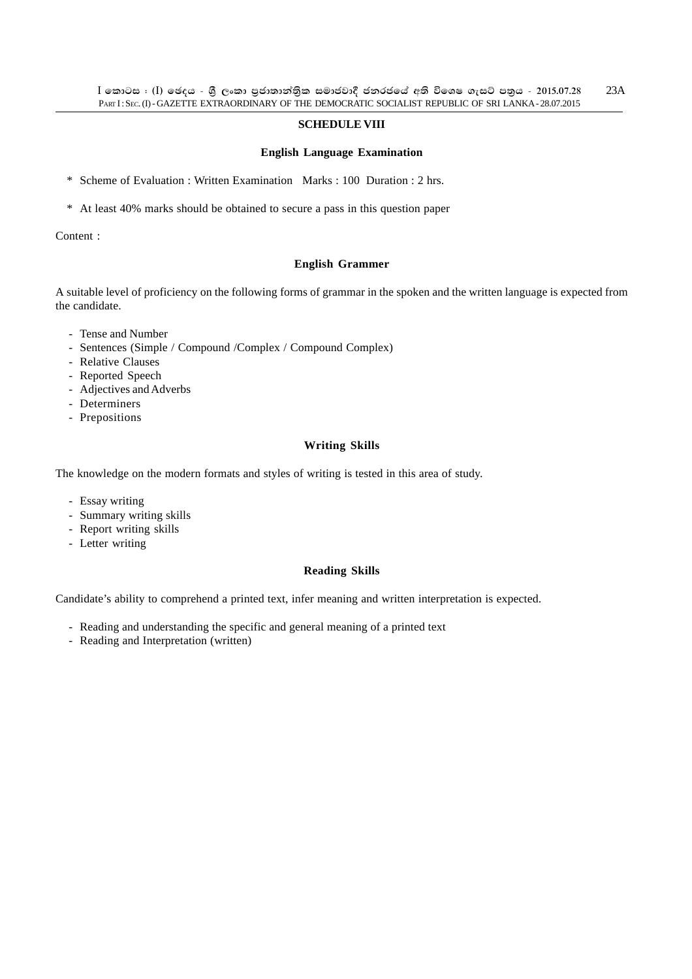# **SCHEDULE VIII**

#### **English Language Examination**

\* Scheme of Evaluation : Written Examination Marks : 100 Duration : 2 hrs.

\* At least 40% marks should be obtained to secure a pass in this question paper

Content :

#### **English Grammer**

A suitable level of proficiency on the following forms of grammar in the spoken and the written language is expected from the candidate.

- Tense and Number
- Sentences (Simple / Compound /Complex / Compound Complex)
- Relative Clauses
- Reported Speech
- Adjectives and Adverbs
- Determiners
- Prepositions

#### **Writing Skills**

The knowledge on the modern formats and styles of writing is tested in this area of study.

- Essay writing
- Summary writing skills
- Report writing skills
- Letter writing

#### **Reading Skills**

Candidate's ability to comprehend a printed text, infer meaning and written interpretation is expected.

- Reading and understanding the specific and general meaning of a printed text
- Reading and Interpretation (written)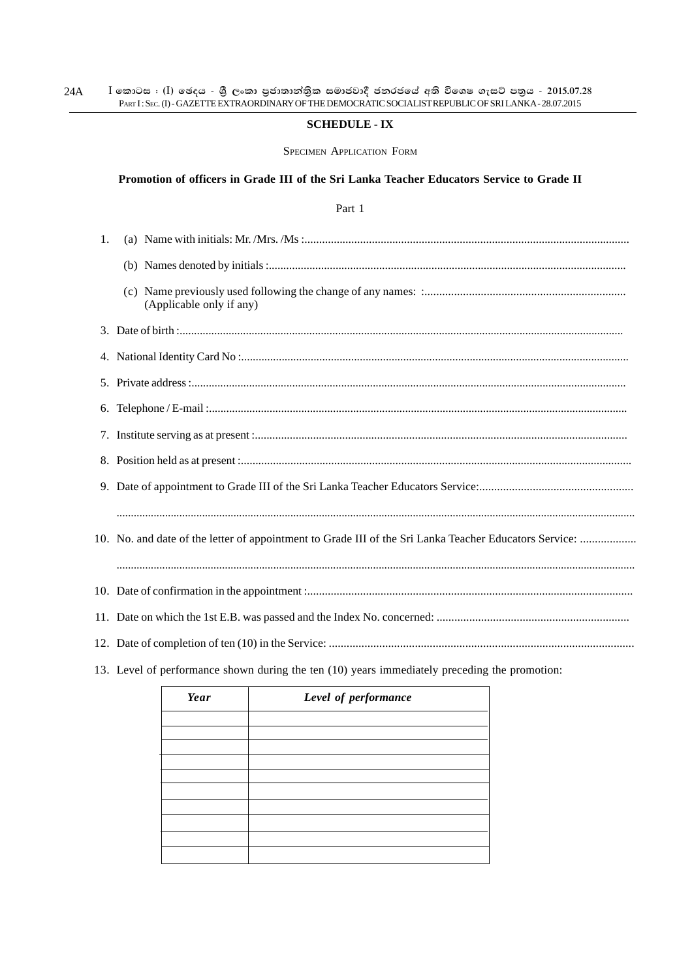# **SCHEDULE - IX**

SPECIMEN APPLICATION FORM

# **Promotion of officers in Grade III of the Sri Lanka Teacher Educators Service to Grade II**

# Part 1

| 1. |                          |
|----|--------------------------|
|    |                          |
|    | (Applicable only if any) |
|    |                          |
|    |                          |
|    |                          |
|    |                          |
|    |                          |
|    |                          |
|    |                          |
|    |                          |
|    |                          |
|    |                          |
|    |                          |
|    |                          |
|    |                          |
|    |                          |

13. Level of performance shown during the ten (10) years immediately preceding the promotion:

| Year | Level of performance |
|------|----------------------|
|      |                      |
|      |                      |
|      |                      |
|      |                      |
|      |                      |
|      |                      |
|      |                      |
|      |                      |
|      |                      |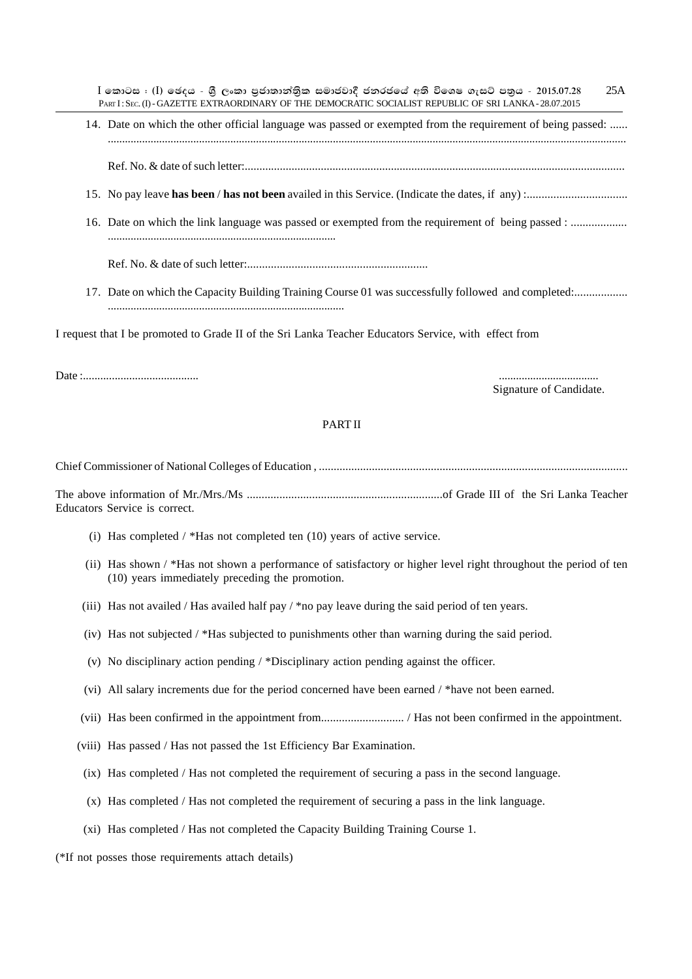$I$  කොටස : (I) ඡෙදය - ශීූ ලංකා පුජාතාන්තිුක සමාජවාදී ජනරජයේ අති විශෙෂ ගැසට් පතුය - 2015.07.28 PART I : SEC. (I) - GAZETTE EXTRAORDINARY OF THE DEMOCRATIC SOCIALIST REPUBLIC OF SRI LANKA - 28.07.2015 25A

14. Date on which the other official language was passed or exempted from the requirement of being passed: ...... ......................................................................................................................................................................................

Ref. No. & date of such letter:..................................................................................................................................

- 15. No pay leave **has been** / **has not been** availed in this Service. (Indicate the dates, if any) :..................................
- 16. Date on which the link language was passed or exempted from the requirement of being passed : ................... ................................................................................

Ref. No. & date of such letter:.............................................................

17. Date on which the Capacity Building Training Course 01 was successfully followed and completed:.................. ...................................................................................

I request that I be promoted to Grade II of the Sri Lanka Teacher Educators Service, with effect from

Date :........................................ ...................................

Signature of Candidate.

#### PART II

Chief Commissioner of National Colleges of Education , .........................................................................................................

The above information of Mr./Mrs./Ms ..................................................................of Grade III of the Sri Lanka Teacher Educators Service is correct.

- (i) Has completed / \*Has not completed ten (10) years of active service.
- (ii) Has shown / \*Has not shown a performance of satisfactory or higher level right throughout the period of ten (10) years immediately preceding the promotion.
- (iii) Has not availed / Has availed half pay / \*no pay leave during the said period of ten years.
- (iv) Has not subjected / \*Has subjected to punishments other than warning during the said period.
- (v) No disciplinary action pending / \*Disciplinary action pending against the officer.
- (vi) All salary increments due for the period concerned have been earned / \*have not been earned.
- (vii) Has been confirmed in the appointment from............................ / Has not been confirmed in the appointment.
- (viii) Has passed / Has not passed the 1st Efficiency Bar Examination.
- (ix) Has completed / Has not completed the requirement of securing a pass in the second language.
- (x) Has completed / Has not completed the requirement of securing a pass in the link language.
- (xi) Has completed / Has not completed the Capacity Building Training Course 1.

(\*If not posses those requirements attach details)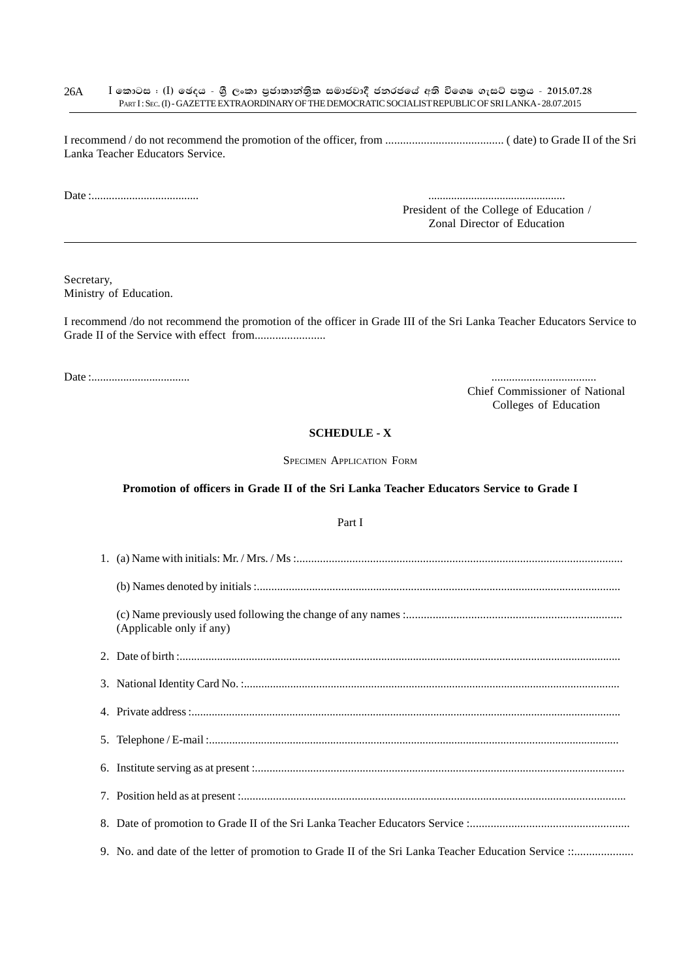$I$  කොටස : (I) ඡෙදය - ශුී ලංකා පුජාතාන්තුික සමාජවාදී ජනරජයේ අති විශෙෂ ගැසට් පතුය - 2015.07.28 PART I : SEC. (I) - GAZETTE EXTRAORDINARY OF THE DEMOCRATIC SOCIALIST REPUBLIC OF SRI LANKA - 28.07.2015 26A

I recommend / do not recommend the promotion of the officer, from ........................................ ( date) to Grade II of the Sri Lanka Teacher Educators Service.

Date :..................................... ................................................

President of the College of Education / Zonal Director of Education

Secretary, Ministry of Education.

I recommend /do not recommend the promotion of the officer in Grade III of the Sri Lanka Teacher Educators Service to Grade II of the Service with effect from........................

Date :.................................. ....................................

Chief Commissioner of National

Colleges of Education

#### **SCHEDULE - X**

SPECIMEN APPLICATION FORM

### **Promotion of officers in Grade II of the Sri Lanka Teacher Educators Service to Grade I**

#### Part I

| (Applicable only if any) |
|--------------------------|
|                          |
|                          |
|                          |
|                          |
|                          |
|                          |
|                          |
|                          |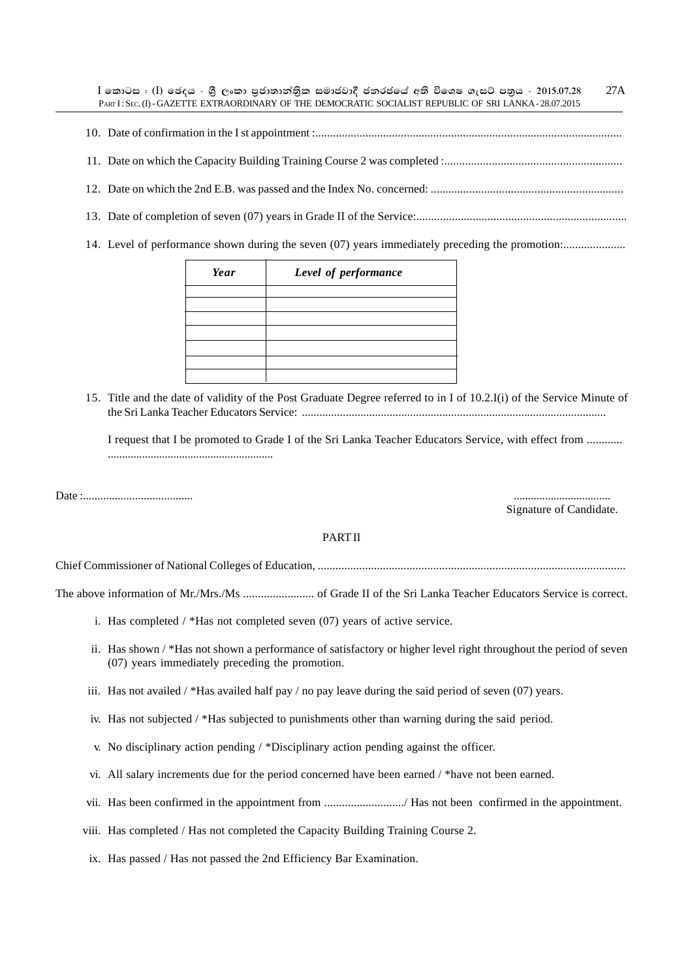$I$  කොටස : (I) ඡෙදය - ශීූ ලංකා පුජාතාන්තිුක සමාජවාදී ජනරජයේ අති විශෙෂ ගැසට් පතුය - 2015.07.28 PART I : SEC. (I) - GAZETTE EXTRAORDINARY OF THE DEMOCRATIC SOCIALIST REPUBLIC OF SRI LANKA - 28.07.2015 27A

- 10. Date of confirmation in the I st appointment :........................................................................................................
- 11. Date on which the Capacity Building Training Course 2 was completed :............................................................
- 12. Date on which the 2nd E.B. was passed and the Index No. concerned: .................................................................
- 13. Date of completion of seven (07) years in Grade II of the Service:.......................................................................
- 14. Level of performance shown during the seven (07) years immediately preceding the promotion:.....................

| Year | Level of performance |
|------|----------------------|
|      |                      |
|      |                      |
|      |                      |
|      |                      |
|      |                      |
|      |                      |
|      |                      |

15. Title and the date of validity of the Post Graduate Degree referred to in I of 10.2.I(i) of the Service Minute of the Sri Lanka Teacher Educators Service: ........................................................................................................

I request that I be promoted to Grade I of the Sri Lanka Teacher Educators Service, with effect from ............ ..........................................................

Date :...................................... ..................................

Signature of Candidate.

#### PART II

Chief Commissioner of National Colleges of Education, ........................................................................................................

The above information of Mr./Mrs./Ms ........................ of Grade II of the Sri Lanka Teacher Educators Service is correct.

- i. Has completed / \*Has not completed seven (07) years of active service.
- ii. Has shown / \*Has not shown a performance of satisfactory or higher level right throughout the period of seven (07) years immediately preceding the promotion.
- iii. Has not availed / \*Has availed half pay / no pay leave during the said period of seven (07) years.
- iv. Has not subjected / \*Has subjected to punishments other than warning during the said period.
- v. No disciplinary action pending / \*Disciplinary action pending against the officer.
- vi. All salary increments due for the period concerned have been earned / \*have not been earned.
- vii. Has been confirmed in the appointment from .........................../ Has not been confirmed in the appointment.
- viii. Has completed / Has not completed the Capacity Building Training Course 2.
- ix. Has passed / Has not passed the 2nd Efficiency Bar Examination.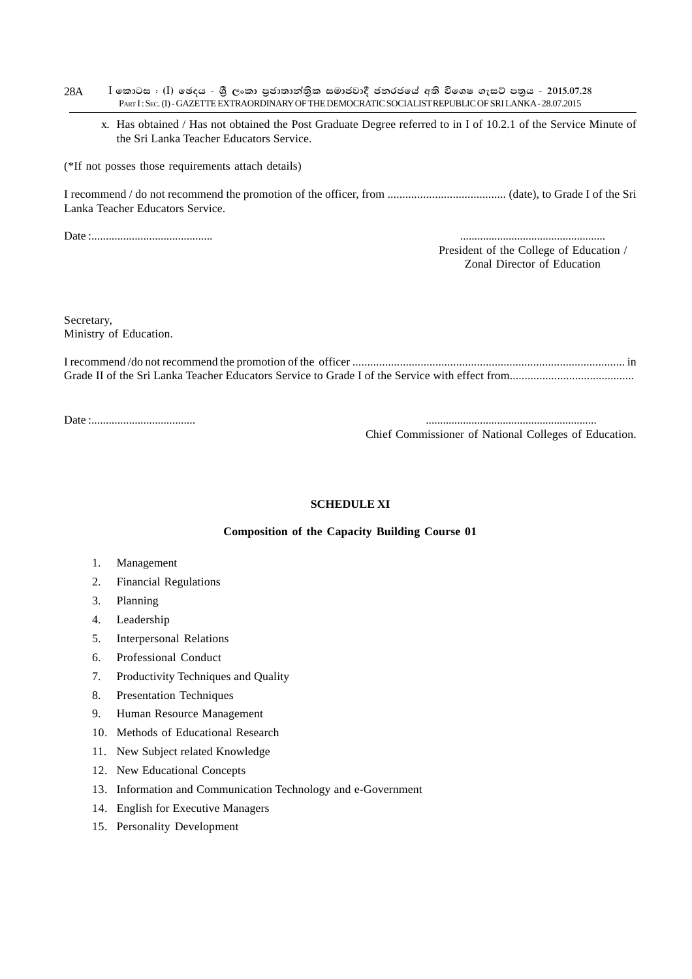- $I$  කොටස : (I) ඡෙදය ශීු ලංකා පුජාතාන්තිුක සමාජවාදී ජනරජයේ අති විශෙෂ ගැසට් පතුය 2015.07.28 PART I : SEC. (I) - GAZETTE EXTRAORDINARY OF THE DEMOCRATIC SOCIALIST REPUBLIC OF SRI LANKA - 28.07.2015 28A
	- x. Has obtained / Has not obtained the Post Graduate Degree referred to in I of 10.2.1 of the Service Minute of the Sri Lanka Teacher Educators Service.

(\*If not posses those requirements attach details)

I recommend / do not recommend the promotion of the officer, from ........................................ (date), to Grade I of the Sri Lanka Teacher Educators Service.

Date :.......................................... ...................................................

President of the College of Education / Zonal Director of Education

Secretary, Ministry of Education.

I recommend /do not recommend the promotion of the officer ............................................................................................ in Grade II of the Sri Lanka Teacher Educators Service to Grade I of the Service with effect from..........................................

Date :.................................... ............................................................

Chief Commissioner of National Colleges of Education.

# **SCHEDULE XI**

#### **Composition of the Capacity Building Course 01**

- 1. Management
- 2. Financial Regulations
- 3. Planning
- 4. Leadership
- 5. Interpersonal Relations
- 6. Professional Conduct
- 7. Productivity Techniques and Quality
- 8. Presentation Techniques
- 9. Human Resource Management
- 10. Methods of Educational Research
- 11. New Subject related Knowledge
- 12. New Educational Concepts
- 13. Information and Communication Technology and e-Government
- 14. English for Executive Managers
- 15. Personality Development